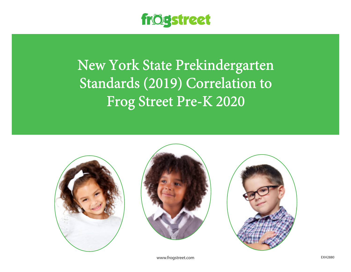

New York State Prekindergarten Standards (2019) Correlation to Frog Street Pre-K 2020







www.frogstreet.com example and the extra second service and the extra service service services are extra services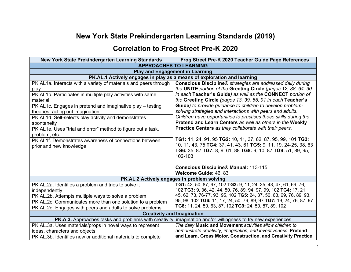## **New York State Prekindergarten Learning Standards (2019)**

## **Correlation to Frog Street Pre-K 2020**

| <b>New York State Prekindergarten Learning Standards</b>         | Frog Street Pre-K 2020 Teacher Guide Page References                                                                              |
|------------------------------------------------------------------|-----------------------------------------------------------------------------------------------------------------------------------|
|                                                                  | <b>APPROACHES TO LEARNING</b>                                                                                                     |
| <b>Play and Engagement in Learning</b>                           |                                                                                                                                   |
|                                                                  | PK.AL.1 Actively engages in play as a means of exploration and learning                                                           |
| PK.AL1a. Interacts with a variety of materials and peers through | <b>Conscious Discipline®</b> strategies are addressed daily during                                                                |
| play                                                             | the UNITE portion of the Greeting Circle (pages 12, 38, 64, 90                                                                    |
| PK.AL1b. Participates in multiple play activities with same      | in each Teacher's Guide) as well as the CONNECT portion of                                                                        |
| material                                                         | the Greeting Circle (pages 13, 39, 65, 91 in each Teacher's                                                                       |
| PK.AL1c. Engages in pretend and imaginative play – testing       | Guide) to provide guidance to children to develop problem-                                                                        |
| theories, acting out imagination                                 | solving strategies and interactions with peers and adults.                                                                        |
| PK.AL1d. Self-selects play activity and demonstrates             | Children have opportunities to practices these skills during the                                                                  |
| spontaneity                                                      | Pretend and Learn Centers as well as others in the Weekly                                                                         |
| PK.AL1e. Uses "trial and error" method to figure out a task,     | Practice Centers as they collaborate with their peers.                                                                            |
| problem, etc.                                                    |                                                                                                                                   |
| PK.AL1f. Demonstrates awareness of connections between           | TG1: 11, 24, 91, 95 TG2: 10, 11, 37, 62, 87, 95, 99, 101 TG3:<br>10, 11, 43, 75 TG4: 37, 41, 43, 61 TG5: 9, 11, 19, 24-25, 38, 63 |
| prior and new knowledge                                          | TG6: 35, 87 TG7: 8, 9, 61, 88 TG8: 9, 10, 87 TG9: 51, 89, 95,                                                                     |
|                                                                  | 102-103                                                                                                                           |
|                                                                  |                                                                                                                                   |
|                                                                  | <b>Conscious Discipline® Manual: 113-115</b>                                                                                      |
|                                                                  | Welcome Guide: 46, 83                                                                                                             |
| PK.AL.2 Actively engages in problem solving                      |                                                                                                                                   |
| PK.AL.2a. Identifies a problem and tries to solve it             | TG1: 42, 50, 87, 97, 102 TG2: 9, 11, 24, 35, 43, 47, 61, 69, 76,                                                                  |
| independently                                                    | 102 TG3: 9, 36, 42, 44, 50, 76, 89, 94, 97, 99, 102 TG4: 17, 21,                                                                  |
| PK.AL.2b. Attempts multiple ways to solve a problem              | 45, 62, 73, 76-77, 93, 95, 102 TG5: 24, 37, 50, 63, 69, 76, 89, 93,                                                               |
| PK.AL.2c. Communicates more than one solution to a problem       | 95, 98, 102 TG6: 11, 17, 24, 50, 76, 89, 97 TG7: 19, 24, 76, 87, 97                                                               |
| PK.AL.2d. Engages with peers and adults to solve problems        | TG8: 11, 24, 50, 63, 87, 102 TG9: 24, 50, 87, 89, 102                                                                             |
| <b>Creativity and Imagination</b>                                |                                                                                                                                   |
|                                                                  | PK.A.3. Approaches tasks and problems with creativity, imagination and/or willingness to try new experiences                      |
| PK.AL.3a. Uses materials/props in novel ways to represent        | The daily Music and Movement activities allow children to                                                                         |
| ideas, characters and objects                                    | demonstrate creativity, imagination, and inventiveness. Pretend                                                                   |
| PK.AL.3b. Identifies new or additional materials to complete     | and Learn, Gross Motor, Construction, and Creativity Practice                                                                     |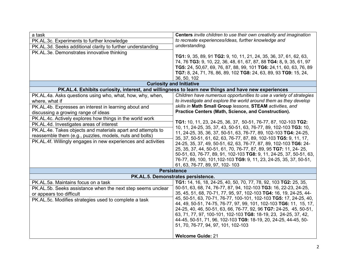| a task<br>PK.AL.3c. Experiments to further knowledge<br>PK.AL.3d. Seeks additional clarity to further understanding<br>PK.AL.3e. Demonstrates innovative thinking                                                                                                                                                                                                                                                                                                              | Centers invite children to use their own creativity and imagination<br>to recreate experiences/ideas, further knowledge and<br>understanding.<br><b>TG1:</b> 9, 35, 89, 91 <b>TG2:</b> 9, 10, 11, 21, 24, 35, 36, 37, 61, 62, 63,<br>74, 76 TG3: 9, 10, 22, 36, 48, 61, 67, 87, 88 TG4: 8, 9, 35, 61, 97<br>TG5: 24, 50,67, 69, 76, 87, 88, 99, 101 TG6: 24, 11, 60, 63, 76, 89<br>TG7: 8, 24, 71, 76, 86, 89, 102 TG8: 24, 63, 89, 93 TG9: 15, 24,                                                                                                                                                                                                                                                                                                                                                                                                                   |
|--------------------------------------------------------------------------------------------------------------------------------------------------------------------------------------------------------------------------------------------------------------------------------------------------------------------------------------------------------------------------------------------------------------------------------------------------------------------------------|-----------------------------------------------------------------------------------------------------------------------------------------------------------------------------------------------------------------------------------------------------------------------------------------------------------------------------------------------------------------------------------------------------------------------------------------------------------------------------------------------------------------------------------------------------------------------------------------------------------------------------------------------------------------------------------------------------------------------------------------------------------------------------------------------------------------------------------------------------------------------|
| <b>Curiosity and Initiative</b>                                                                                                                                                                                                                                                                                                                                                                                                                                                | 36, 50, 102                                                                                                                                                                                                                                                                                                                                                                                                                                                                                                                                                                                                                                                                                                                                                                                                                                                           |
| PK.AL.4. Exhibits curiosity, interest, and willingness to learn new things and have new experiences                                                                                                                                                                                                                                                                                                                                                                            |                                                                                                                                                                                                                                                                                                                                                                                                                                                                                                                                                                                                                                                                                                                                                                                                                                                                       |
| PK.AL.4a. Asks questions using who, what, how, why, when,<br>where, what if<br>PK.AL.4b. Expresses an interest in learning about and<br>discussing a growing range of ideas<br>PK.AL.4c. Actively explores how things in the world work<br>PK.AL.4d. Investigates areas of interest<br>PK.AL.4e. Takes objects and materials apart and attempts to<br>reassemble them (e.g., puzzles, models, nuts and bolts)<br>PK.AL.4f. Willingly engages in new experiences and activities | Children have numerous opportunities to use a variety of strategies<br>to investigate and explore the world around them as they develop<br>skills in Math Small Group lessons, STEAM activities, and<br>Practice Centers (Math, Science, and Construction).<br>TG1: 10, 11, 23, 24-25, 36, 37, 50-51, 76-77, 87, 102-103 TG2:<br>10, 11, 24-25, 35, 37, 43, 50-51, 63, 76-77, 89, 102-103 TG3: 10,<br>11, 24-25, 35, 36, 37, 50-51, 63, 76-77, 89, 102-103 TG4: 24-25,<br>35, 37, 50-51, 61, 62, 63, 76-77, 87, 89, 102-103 TG5: 9, 11, 17,<br>24-25, 35, 37, 49, 50-51, 62, 63, 76-77, 87, 89, 102-103 TG6: 24-<br>25, 35, 37, 44, 50-51, 61, 70, 76-77, 87, 89, 95 TG7: 11, 24- 25,<br>50-51, 63, 76-77, 89, 91, 102-103 TG8: 9, 11, 24-25, 37, 50-51, 63,<br>76-77, 89, 100, 101, 102-103 TG9: 9, 11, 23, 24-25, 35, 37, 50-51,<br>61, 63, 76-77, 89, 97, 102- 103 |
| <b>Persistence</b>                                                                                                                                                                                                                                                                                                                                                                                                                                                             |                                                                                                                                                                                                                                                                                                                                                                                                                                                                                                                                                                                                                                                                                                                                                                                                                                                                       |
| PK.AL.5. Demonstrates persistence.                                                                                                                                                                                                                                                                                                                                                                                                                                             |                                                                                                                                                                                                                                                                                                                                                                                                                                                                                                                                                                                                                                                                                                                                                                                                                                                                       |
| PK.AL.5a. Maintains focus on a task<br>PK.AL.5b. Seeks assistance when the next step seems unclear<br>or appears too difficult<br>PK.AL.5c. Modifies strategies used to complete a task                                                                                                                                                                                                                                                                                        | TG1: 14, 16, 18, 24-25, 40, 50, 70, 77, 78, 92, 103 TG2: 25, 35,<br>50-51, 63, 68, 74, 76-77, 87, 94, 102-103 TG3: 16, 22-23, 24-25,<br>35, 45, 51, 68, 70-71, 77, 95, 97, 102-103 TG4: 16, 19, 24-25, 44-<br>45, 50-51, 63, 70-71, 76-77, 100-101, 102-103 TG5: 17, 24-25, 40,<br>44, 49, 50-51, 74-75, 76-77, 97, 99, 101, 102-103 TG6: 11, 15, 17,<br>24-25, 40, 46, 50-51, 63, 66, 76-77, 92, 96 TG7: 24-25, 45, 50-51,<br>63, 71, 77, 97, 100-101, 102-103 TG8: 18-19, 23, 24-25, 37, 42,<br>44-45, 50-51, 71, 96, 102-103 TG9: 18-19, 20, 24-25, 44-45, 50-<br>51, 70, 76-77, 94, 97, 101, 102-103<br><b>Welcome Guide: 21</b>                                                                                                                                                                                                                                  |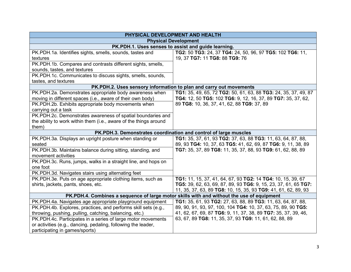| PHYSICAL DEVELOPMENT AND HEALTH                                                           |                                                                    |
|-------------------------------------------------------------------------------------------|--------------------------------------------------------------------|
|                                                                                           | <b>Physical Development</b>                                        |
| PK.PDH.1. Uses senses to assist and guide learning.                                       |                                                                    |
| PK.PDH.1a. Identifies sights, smells, sounds, tastes and                                  | TG2: 50 TG3: 24, 37 TG4: 24, 50, 96, 97 TG5: 102 TG6: 11,          |
| textures                                                                                  | 19, 37 TG7: 11 TG8: 88 TG9: 76                                     |
| PK.PDH.1b. Compares and contrasts different sights, smells,                               |                                                                    |
| sounds, tastes, and textures                                                              |                                                                    |
| PK.PDH.1c. Communicates to discuss sights, smells, sounds,                                |                                                                    |
| tastes, and textures                                                                      |                                                                    |
|                                                                                           | PK.PDH.2. Uses sensory information to plan and carry out movements |
| PK.PDH.2a. Demonstrates appropriate body awareness when                                   | TG1: 35, 49, 65, 72 TG2: 50, 61, 63, 88 TG3: 24, 35, 37, 49, 87    |
| moving in different spaces (i.e., aware of their own body)                                | TG4: 12, 50 TG5: 102 TG6: 9, 12, 16, 37, 89 TG7: 35, 37, 62,       |
| PK.PDH.2b. Exhibits appropriate body movements when                                       | 89 TG8: 10, 36, 37, 41, 62, 88 TG9: 37, 89                         |
| carrying out a task                                                                       |                                                                    |
| PK.PDH.2c. Demonstrates awareness of spatial boundaries and                               |                                                                    |
| the ability to work within them (i.e., aware of the things around                         |                                                                    |
| them)                                                                                     |                                                                    |
| PK.PDH.3. Demonstrates coordination and control of large muscles                          |                                                                    |
| PK.PDH.3a. Displays an upright posture when standing or                                   | TG1: 35, 37, 61, 93 TG2: 37, 63, 88 TG3: 11, 63, 64, 87, 88,       |
| seated                                                                                    | 89, 93 TG4: 10, 37, 63 TG5: 41, 62, 69, 87 TG6: 9, 11, 38, 89      |
| PK.PDH.3b. Maintains balance during sitting, standing, and                                | TG7: 35, 37, 89 TG8: 11, 35, 37, 88, 93 TG9: 61, 62, 88, 89        |
| movement activities                                                                       |                                                                    |
| PK.PDH.3c. Runs, jumps, walks in a straight line, and hops on                             |                                                                    |
| one foot                                                                                  |                                                                    |
| PK.PDH.3d. Navigates stairs using alternating feet                                        |                                                                    |
| PK.PDH.3e. Puts on age appropriate clothing items, such as                                | TG1: 11, 15, 37, 41, 64, 67, 93 TG2: 14 TG4: 10, 15, 39, 67        |
| shirts, jackets, pants, shoes, etc.                                                       | TG5: 39, 62, 63, 69, 87, 89, 93 TG6: 9, 15, 23, 37, 61, 65 TG7:    |
|                                                                                           | 11, 35, 37, 63, 89 TG8: 10, 15, 35, 93 TG9: 41, 61, 62, 89, 93     |
| PK.PDH.4. Combines a sequence of large motor skills with and without the use of equipment |                                                                    |
| PK.PDH.4a. Navigates age appropriate playground equipment                                 | TG1: 35, 61, 93 TG2: 27, 63, 88, 89 TG3: 11, 63, 64, 87, 88,       |
| PK.PDH.4b. Explores, practices, and performs skill sets (e.g.,                            | 89, 90, 91, 93, 97, 100, 104 TG4: 10, 37, 63, 75, 89, 90 TG5:      |
| throwing, pushing, pulling, catching, balancing, etc.)                                    | 41, 62, 67, 69, 87 TG6: 9, 11, 37, 38, 89 TG7: 35, 37, 39, 46,     |
| PK.PDH.4c. Participates in a series of large motor movements                              | 63, 67, 89 TG8: 11, 35, 37, 93 TG9: 11, 61, 62, 88, 89             |
| or activities (e.g., dancing, pedaling, following the leader,                             |                                                                    |
| participating in games/sports)                                                            |                                                                    |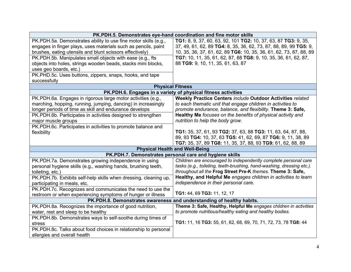| PK.PDH.5. Demonstrates eye-hand coordination and fine motor skills                               |                                                                                                                              |  |
|--------------------------------------------------------------------------------------------------|------------------------------------------------------------------------------------------------------------------------------|--|
| PK.PDH.5a. Demonstrates ability to use fine motor skills (e.g.,                                  | TG1: 8, 9, 37, 60, 63, 92, 101 TG2: 10, 37, 63, 87 TG3: 9, 35,                                                               |  |
| engages in finger plays, uses materials such as pencils, paint                                   | 37, 49, 61, 62, 89 TG4: 8, 35, 36, 62, 73, 87, 88, 89, 99 TG5: 9,                                                            |  |
| brushes, eating utensils and blunt scissors effectively)                                         | 10, 35, 36, 37, 61, 62, 89 TG6: 10, 35, 36, 61, 62, 73, 87, 88, 89                                                           |  |
| PK.PDH.5b. Manipulates small objects with ease (e.g., fts                                        | TG7: 10, 11, 35, 61, 62, 87, 88 TG8: 9, 10, 35, 36, 61, 62, 87,                                                              |  |
| objects into holes, strings wooden beads, stacks mini blocks,                                    | 88 TG9: 9, 10, 11, 35, 61, 63, 87                                                                                            |  |
| uses geo boards, etc.)                                                                           |                                                                                                                              |  |
| PK.PHD.5c. Uses buttons, zippers, snaps, hooks, and tape                                         |                                                                                                                              |  |
| successfully                                                                                     |                                                                                                                              |  |
|                                                                                                  | <b>Physical Fitness</b>                                                                                                      |  |
|                                                                                                  | PK.PDH.6. Engages in a variety of physical fitness activities                                                                |  |
| PK.PDH.6a. Engages in rigorous large motor activities (e.g.,                                     | <b>Weekly Practice Centers include Outdoor Activities related</b>                                                            |  |
| marching, hopping, running, jumping, dancing) in increasingly                                    | to each thematic unit that engage children in activities to                                                                  |  |
| longer periods of time as skill and endurance develops                                           | promote endurance, balance, and flexibility. Theme 3: Safe,                                                                  |  |
| PK.PDH.6b. Participates in activities designed to strengthen                                     | Healthy Me focuses on the benefits of physical activity and                                                                  |  |
| major muscle groups                                                                              | nutrition to help the body grow.                                                                                             |  |
| PK.PDH.6c. Participates in activities to promote balance and                                     |                                                                                                                              |  |
| flexibility                                                                                      | TG1: 35, 37, 61, 93 TG2: 37, 63, 88 TG3: 11, 63, 64, 87, 88,                                                                 |  |
|                                                                                                  | 89, 93 TG4: 10, 37, 63 TG5: 41, 62, 69, 87 TG6: 9, 11, 38, 89<br>TG7: 35, 37, 89 TG8: 11, 35, 37, 88, 93 TG9: 61, 62, 88, 89 |  |
|                                                                                                  |                                                                                                                              |  |
| <b>Physical Health and Well-Being</b><br>PK.PDH.7. Demonstrates personal care and hygiene skills |                                                                                                                              |  |
| PK.PDH.7a. Demonstrates growing independence in using                                            | Children are encouraged to independently complete personal care                                                              |  |
| personal hygiene skills (e.g., washing hands, brushing teeth,                                    | tasks (e.g., toileting, teeth-brushing, hand-washing, dressing etc.).                                                        |  |
| toileting, etc.)                                                                                 | throughout all the Frog Street Pre-K themes. Theme 3: Safe,                                                                  |  |
| PK.PDH.7b. Exhibits self-help skills when dressing, cleaning up,                                 | Healthy, and Helpful Me engages children in activities to learn                                                              |  |
| participating in meals, etc.                                                                     | independence in their personal care.                                                                                         |  |
| PK.PDH.7c. Recognizes and communicates the need to use the                                       |                                                                                                                              |  |
| restroom or when experiencing symptoms of hunger or illness                                      | TG1: 44, 69 TG3: 11, 12, 17                                                                                                  |  |
| PK.PDH.8. Demonstrates awareness and understanding of healthy habits.                            |                                                                                                                              |  |
| PK.PDH.8a. Recognizes the importance of good nutrition,                                          | Theme 3: Safe, Healthy, Helpful Me engages children in activities                                                            |  |
| water, rest and sleep to be healthy                                                              | to promote nutritious/healthy eating and healthy bodies.                                                                     |  |
| PK.PDH.8b. Demonstrates ways to self-soothe during times of                                      |                                                                                                                              |  |
| stress                                                                                           | TG1: 11, 16 TG3: 55, 61, 62, 68, 69, 70, 71, 72, 73, 78 TG8: 44                                                              |  |
| PK.PDH.8c. Talks about food choices in relationship to personal                                  |                                                                                                                              |  |
| allergies and overall health                                                                     |                                                                                                                              |  |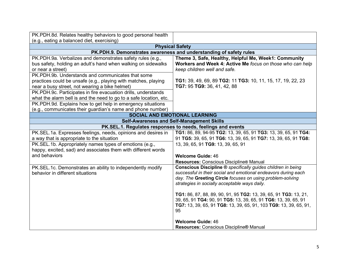| PK.PDH.8d. Relates healthy behaviors to good personal health       |                                                                    |
|--------------------------------------------------------------------|--------------------------------------------------------------------|
| (e.g., eating a balanced diet, exercising)                         |                                                                    |
| <b>Physical Safety</b>                                             |                                                                    |
|                                                                    | PK.PDH.9. Demonstrates awareness and understanding of safety rules |
| PK.PDH.9a. Verbalizes and demonstrates safety rules (e.g.,         | Theme 3, Safe, Healthy, Helpful Me, Week1: Community               |
| bus safety, holding an adult's hand when walking on sidewalks      | Workers and Week 4: Active Me focus on those who can help          |
| or near a street)                                                  | keep children well and safe.                                       |
| PK.PDH.9b. Understands and communicates that some                  |                                                                    |
| practices could be unsafe (e.g., playing with matches, playing     | TG1: 39, 49, 69, 89 TG2: 11 TG3: 10, 11, 15, 17, 19, 22, 23        |
| near a busy street, not wearing a bike helmet)                     | TG7: 95 TG9: 36, 41, 42, 88                                        |
| PK.PDH.9c. Participates in fire evacuation drills, understands     |                                                                    |
| what the alarm bell is and the need to go to a safe location, etc. |                                                                    |
| PK.PDH.9d. Explains how to get help in emergency situations        |                                                                    |
| (e.g., communicates their guardian's name and phone number)        |                                                                    |
| <b>SOCIAL AND EMOTIONAL LEARNING</b>                               |                                                                    |
|                                                                    | <b>Self-Awareness and Self-Management Skills</b>                   |
|                                                                    | PK.SEL.1. Regulates responses to needs, feelings and events        |
| PK.SEL.1a. Expresses feelings, needs, opinions and desires in      | TG1: 86, 89, 94-95 TG2: 13, 39, 65, 91 TG3: 13, 39, 65, 91 TG4:    |
| a way that is appropriate to the situation                         | 91 TG5: 39, 65, 91 TG6: 13, 39, 65, 91 TG7: 13, 39, 65, 91 TG8:    |
| PK.SEL.1b. Appropriately names types of emotions (e.g.,            | 13, 39, 65, 91 TG9: 13, 39, 65, 91                                 |
| happy, excited, sad) and associates them with different words      |                                                                    |
| and behaviors                                                      | <b>Welcome Guide: 46</b>                                           |
|                                                                    | Resources: Conscious Discipline® Manual                            |
| PK.SEL.1c. Demonstrates an ability to independently modify         | Conscious Discipline ® specifically guides children in being       |
| behavior in different situations                                   | successful in their social and emotional endeavors during each     |
|                                                                    | day. The Greeting Circle focuses on using problem-solving          |
|                                                                    | strategies in socially acceptable ways daily.                      |
|                                                                    | TG1: 86, 87, 88, 89, 90, 91, 95 TG2: 13, 39, 65, 91 TG3: 13, 21,   |
|                                                                    | 39, 65, 91 TG4: 90, 91 TG5: 13, 39, 65, 91 TG6: 13, 39, 65, 91     |
|                                                                    | TG7: 13, 39, 65, 91 TG8: 13, 39, 65, 91, 103 TG9: 13, 39, 65, 91,  |
|                                                                    | 95                                                                 |
|                                                                    |                                                                    |
|                                                                    | <b>Welcome Guide: 46</b>                                           |
|                                                                    | Resources: Conscious Discipline® Manual                            |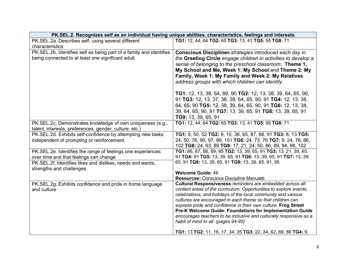|                                                                                        | PK.SEL.2. Recognizes self as an individual having unique abilities, characteristics, feelings and interests                         |
|----------------------------------------------------------------------------------------|-------------------------------------------------------------------------------------------------------------------------------------|
| PK.SEL.2a. Describes self, using several different                                     | TG1: 12, 44, 64 TG2: 65 TG3: 13, 41 TG5: 95 TG8: 71                                                                                 |
| characteristics                                                                        |                                                                                                                                     |
| PK.SEL.2b. Identifies self as being part of a family and identifies                    | Conscious Discipline® strategies introduced each day in                                                                             |
| being connected to at least one significant adult                                      | the Greeting Circle engage children in activities to develop a                                                                      |
|                                                                                        | sense of belonging to the preschool classroom. Theme 1,                                                                             |
|                                                                                        | My School and Me, Week 1: My School and Theme 2: My                                                                                 |
|                                                                                        | Family, Week 1: My Family and Week 2: My Relatives                                                                                  |
|                                                                                        | address groups with which children can identify.                                                                                    |
|                                                                                        | <b>TG1:</b> 12, 13, 38, 64, 89, 90 <b>TG2:</b> 12, 13, 38, 39, 64, 65, 90,                                                          |
|                                                                                        | 91 TG3: 12, 13, 37, 38, 39, 64, 65, 90, 91 TG4: 12, 13, 38,                                                                         |
|                                                                                        | 64, 65, 90 TG5: 12, 38, 39, 64, 65, 90, 91 TG6: 12, 13, 38,                                                                         |
|                                                                                        | 39, 64, 65, 90, 91 TG7: 13, 39, 65, 91 TG8: 13, 39, 65, 91                                                                          |
|                                                                                        | TG9: 13, 39, 65, 91                                                                                                                 |
| PK.SEL.2c. Demonstrates knowledge of own uniqueness (e.g.,                             | TG1: 12, 44, 64 TG2: 65 TG3: 13, 41 TG5: 95 TG8: 71                                                                                 |
| talent, interests, preferences, gender, culture, etc.)                                 |                                                                                                                                     |
| PK.SEL.2d. Exhibits self-confidence by attempting new tasks                            | TG1: 9, 50, 52 TG2: 9, 10, 36, 65, 87, 88, 91 TG3: 8, 13 TG5:                                                                       |
| independent of prompting or reinforcement                                              | 24, 50, 76, 90, 97, 99, 101 TG6: 24, 73, 76 TG7: 9, 24, 76, 86,                                                                     |
|                                                                                        | 102 TG8: 24, 63, 89 TG9: 17, 21, 24, 50, 86, 89, 94, 98, 102                                                                        |
| PK.SEL.2e. Identifies the range of feelings one experiences                            | TG1: 86, 87, 88, 89, 95 TG2: 13, 39, 65, 91 TG3: 13, 21, 39, 65,<br>91 TG4: 91 TG5: 13, 39, 65, 91 TG6: 13, 39, 65, 91 TG7: 13, 39, |
| over time and that feelings can change                                                 | 65, 91 TG8: 13, 39, 65, 91 TG9: 13, 39, 65, 91, 95                                                                                  |
| PK.SEL.2f. Identifies likes and dislikes, needs and wants,<br>strengths and challenges |                                                                                                                                     |
|                                                                                        | <b>Welcome Guide: 46</b>                                                                                                            |
|                                                                                        | Resources: Conscious Discipline Manual®                                                                                             |
| PK.SEL.2g. Exhibits confidence and pride in home language                              | Cultural Responsiveness reminders are embedded across all                                                                           |
| and culture                                                                            | content areas of the curriculum. Opportunities to explore events,                                                                   |
|                                                                                        | celebrations, and holidays of the local community and various                                                                       |
|                                                                                        | cultures are encouraged in each theme so that children can                                                                          |
|                                                                                        | express pride and confidence in their own culture. Frog Street<br>Pre-K Welcome Guide: Foundations for Implementation Guide         |
|                                                                                        | encourages teachers to be inclusive and culturally responsive as a                                                                  |
|                                                                                        | habit of mind to all. (pages 94-95)                                                                                                 |
|                                                                                        |                                                                                                                                     |
|                                                                                        | TG1: 13 TG2: 11, 16, 17, 34, 35 TG3: 22, 34, 62, 69, 88 TG4: 9,                                                                     |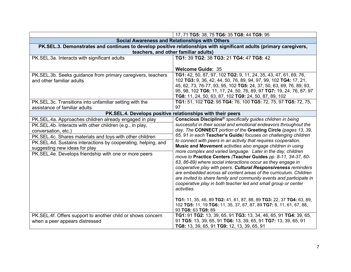|                                                               | 17, 71 TG5: 38, 75 TG6: 35 TG8: 44 TG9: 95                                                                                                  |
|---------------------------------------------------------------|---------------------------------------------------------------------------------------------------------------------------------------------|
|                                                               | Social Awareness and Relationships with Others                                                                                              |
|                                                               | PK.SEL.3. Demonstrates and continues to develop positive relationships with significant adults (primary caregivers,                         |
|                                                               | teachers, and other familiar adults)                                                                                                        |
| PK.SEL.3a. Interacts with significant adults                  | TG1: 39 TG2: 38 TG3: 21 TG4: 47 TG8: 42                                                                                                     |
|                                                               |                                                                                                                                             |
|                                                               | <b>Welcome Guide: 35</b>                                                                                                                    |
| PK.SEL.3b. Seeks guidance from primary caregivers, teachers   | TG1: 42, 50, 87, 97, 102 TG2: 9, 11, 24, 35, 43, 47, 61, 69, 76,                                                                            |
| and other familiar adults                                     | 102 TG3: 9, 36, 42, 44, 50, 76, 89, 94, 97, 99, 102 TG4: 17, 21,                                                                            |
|                                                               | 45, 62, 73, 76-77, 93, 95, 102 TG5: 24, 37, 50, 63, 69, 76, 89, 93,                                                                         |
|                                                               | 95, 98, 102 TG6: 11, 17, 24, 50, 76, 89, 97 TG7: 19, 24, 76, 87, 97                                                                         |
| PK.SEL.3c. Transitions into unfamiliar setting with the       | TG8: 11, 24, 50, 63, 87, 102 TG9: 24, 50, 87, 89, 102<br>TG1: 51, 102 TG2: 95 TG4: 76, 100 TG5: 72, 75, 97 TG5: 72, 75,                     |
| assistance of familiar adults                                 | 97                                                                                                                                          |
|                                                               | PK.SEL.4. Develops positive relationships with their peers                                                                                  |
| PK.SEL.4a. Approaches children already engaged in play        | Conscious Discipline <sup>®</sup> specifically guides children in being                                                                     |
| PK.SEL.4b. Interacts with other children (e.g., in play,      | successful in their social and emotional endeavors throughout the                                                                           |
| conversation, etc.)                                           | day. The CONNECT portion of the Greeting Circle (pages 13, 39,                                                                              |
| PK.SEL.4c. Shares materials and toys with other children      | 65, 91 in each Teacher's Guide) focuses on challenging children                                                                             |
| PK.SEL.4d. Sustains interactions by cooperating, helping, and | to connect with peers in an activity that requires cooperation.                                                                             |
| suggesting new ideas for play                                 | Music and Movement activities also engage children in using                                                                                 |
| PK.SEL.4e. Develops friendship with one or more peers         | more complex and varied language. Later in the day, children                                                                                |
|                                                               | move to Practice Centers (Teacher Guides pp. 8-11, 34-37, 60-                                                                               |
|                                                               | 63, 86-89) where social interactions occur as they engage in                                                                                |
|                                                               | cooperative play with peers. Cultural Responsiveness reminders                                                                              |
|                                                               | are embedded across all content areas of the curriculum. Children                                                                           |
|                                                               | are invited to share family and community events and participate in                                                                         |
|                                                               | cooperative play in both teacher led and small group or center                                                                              |
|                                                               | activities.                                                                                                                                 |
|                                                               |                                                                                                                                             |
|                                                               | TG1: 11, 35, 46, 89 TG2: 41, 61, 87, 88, 89 TG3: 22, 37 TG4: 63, 89,<br>102 TG5: 11, 19 TG6: 11, 35, 37, 67, 87, 89 TG7: 8, 11, 61, 67, 88, |
|                                                               | 93 TG8: 63 TG9: 89                                                                                                                          |
| PK.SEL.4f. Offers support to another child or shows concern   | TG1: 91 TG2: 13, 39, 65, 91 TG3: 13, 34, 46, 65, 91 TG4: 39, 65,                                                                            |
| when a peer appears distressed                                | 91 TG5: 13, 39, 65, 91 TG6: 13, 39, 65, 91 TG7: 13, 39, 65, 91                                                                              |
|                                                               | TG8: 13, 39, 65, 91 TG9: 12, 13, 39, 65, 91                                                                                                 |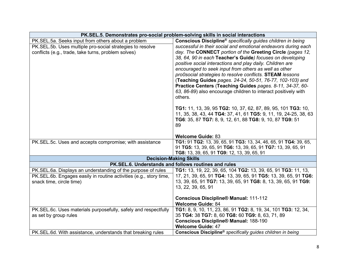| PK.SEL.5. Demonstrates pro-social problem-solving skills in social interactions                                                                                        |                                                                                                                                                                                                                                                                                                                                                                                                                                                                                                                                                                                                                                                                |
|------------------------------------------------------------------------------------------------------------------------------------------------------------------------|----------------------------------------------------------------------------------------------------------------------------------------------------------------------------------------------------------------------------------------------------------------------------------------------------------------------------------------------------------------------------------------------------------------------------------------------------------------------------------------------------------------------------------------------------------------------------------------------------------------------------------------------------------------|
| PK.SEL.5a. Seeks input from others about a problem<br>PK.SEL.5b. Uses multiple pro-social strategies to resolve<br>conflicts (e.g., trade, take turns, problem solves) | Conscious Discipline <sup>®</sup> specifically guides children in being<br>successful in their social and emotional endeavors during each<br>day. The CONNECT portion of the Greeting Circle (pages 12,<br>38, 64, 90 in each Teacher's Guide) focuses on developing<br>positive social interactions and play daily. Children are<br>encouraged to seek input from others as well as other<br>pro0social strategies to resolve conflicts. STEAM lessons<br>(Teaching Guides pages. 24-24, 50-51, 76-77, 102-103) and<br>Practice Centers (Teaching Guides pages. 8-11, 34-37, 60-<br>63, 86-89) also encourage children to interact positively with<br>others. |
|                                                                                                                                                                        | TG1: 11, 13, 39, 95 TG2: 10, 37, 62, 87, 89, 95, 101 TG3: 10,<br>11, 35, 38, 43, 44 TG4: 37, 41, 61 TG5: 9, 11, 19, 24-25, 38, 63<br>TG6: 35, 87 TG7: 8, 9, 12, 61, 88 TG8: 9, 10, 87 TG9: 51<br>89<br><b>Welcome Guide: 83</b>                                                                                                                                                                                                                                                                                                                                                                                                                                |
| PK.SEL.5c. Uses and accepts compromise; with assistance                                                                                                                | TG1: 91 TG2: 13, 39, 65, 91 TG3: 13, 34, 46, 65, 91 TG4: 39, 65,<br>91 TG5: 13, 39, 65, 91 TG6: 13, 39, 65, 91 TG7: 13, 39, 65, 91<br>TG8: 13, 39, 65, 91 TG9: 12, 13, 39, 65, 91                                                                                                                                                                                                                                                                                                                                                                                                                                                                              |
| <b>Decision-Making Skills</b>                                                                                                                                          |                                                                                                                                                                                                                                                                                                                                                                                                                                                                                                                                                                                                                                                                |
| PK.SEL.6. Understands and follows routines and rules                                                                                                                   |                                                                                                                                                                                                                                                                                                                                                                                                                                                                                                                                                                                                                                                                |
| PK.SEL.6a. Displays an understanding of the purpose of rules<br>PK.SEL.6b. Engages easily in routine activities (e.g., story time,<br>snack time, circle time)         | TG1: 13, 19, 22, 39, 65, 104 TG2: 13, 39, 65, 91 TG3: 11, 13,<br>17, 21, 39, 65, 91 TG4: 13, 39, 65, 91 TG5: 13, 39, 65, 91 TG6:<br>13, 39, 65, 91 TG7: 13, 39, 65, 91 TG8: 8, 13, 39, 65, 91 TG9:<br>13, 22, 39, 65, 91<br><b>Conscious Discipline® Manual: 111-112</b><br><b>Welcome Guide: 84</b>                                                                                                                                                                                                                                                                                                                                                           |
| PK.SEL.6c. Uses materials purposefully, safely and respectfully<br>as set by group rules<br>PK. SEL. 6d. With assistance, understands that breaking rules              | TG1: 8, 9, 10, 11, 23, 86, 91 TG2: 8, 19, 34, 101 TG3: 12, 34,<br>35 TG4: 38 TG7: 8, 60 TG8: 60 TG9: 8, 63, 71, 89<br><b>Conscious Discipline® Manual: 188-190</b><br><b>Welcome Guide: 47</b><br>Conscious Discipline <sup>®</sup> specifically guides children in being                                                                                                                                                                                                                                                                                                                                                                                      |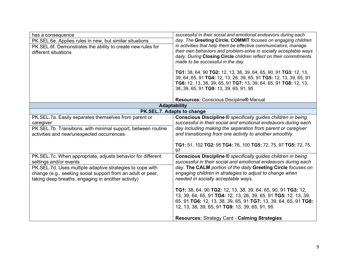| has a consequence<br>PK.SEL.6e. Applies rules in new, but similar situations<br>PK.SEL.6f. Demonstrates the ability to create new rules for<br>different situations                                                                                                     | successful in their social and emotional endeavors during each<br>day. The Greeting Circle, COMMIT focuses on engaging children<br>in activities that help them be effective communicators, manage<br>their own behaviors and problem-solve in socially acceptable ways<br>daily. During Closing Circle children reflect on their commitments<br>made to be successful in the day.<br>TG1: 38, 64, 90 TG2: 12, 13, 38, 39, 64, 65, 90, 91 TG3: 12, 13,<br>39, 64, 65, 91 TG4: 12, 13, 26, 39, 65, 91 TG5: 12, 13, 39, 65, 91<br>TG6: 12, 13, 38, 39, 65, 91 TG7: 13, 39, 64, 65, 91 TG8: 12, 13, |
|-------------------------------------------------------------------------------------------------------------------------------------------------------------------------------------------------------------------------------------------------------------------------|--------------------------------------------------------------------------------------------------------------------------------------------------------------------------------------------------------------------------------------------------------------------------------------------------------------------------------------------------------------------------------------------------------------------------------------------------------------------------------------------------------------------------------------------------------------------------------------------------|
|                                                                                                                                                                                                                                                                         | 38, 39, 65, 91 TG9: 13, 39, 65, 91, 95<br>Resources: Conscious Discipline® Manual                                                                                                                                                                                                                                                                                                                                                                                                                                                                                                                |
| <b>Adaptability</b><br>PK.SEL.7. Adapts to change                                                                                                                                                                                                                       |                                                                                                                                                                                                                                                                                                                                                                                                                                                                                                                                                                                                  |
| PK.SEL.7a. Easily separates themselves from parent or<br>caregiver<br>PK.SEL.7b. Transitions, with minimal support, between routine<br>activities and new/unexpected occurrences                                                                                        | Conscious Discipline ® specifically guides children in being<br>successful in their social and emotional endeavors during each<br>day including making the separation from parent or caregiver<br>and transitioning from one activity to another smoothly.<br>TG1: 51, 102 TG2: 95 TG4: 76, 100 TG5: 72, 75, 97 TG5: 72, 75,<br>97                                                                                                                                                                                                                                                               |
| PK.SEL.7c. When appropriate, adjusts behavior for different<br>settings and/or events<br>PK.SEL.7d. Uses multiple adaptive strategies to cope with<br>change (e.g., seeking social support from an adult or peer,<br>taking deep breaths, engaging in another activity) | <b>Conscious Discipline ®</b> specifically guides children in being<br>successful in their social and emotional endeavors during each<br>day. The CALM portion of the daily Greeting Circle focuses on<br>engaging children in strategies to adjust to change when<br>needed in socially acceptable ways.                                                                                                                                                                                                                                                                                        |
|                                                                                                                                                                                                                                                                         | TG1: 38, 64, 90 TG2: 12, 13, 38, 39, 64, 65, 90, 91 TG3: 12,<br>13, 39, 64, 65, 91 TG4: 12, 13, 26, 39, 65, 91 TG5: 12, 13, 39,<br>65, 91 TG6: 12, 13, 38, 39, 65, 91 TG7: 13, 39, 64, 65, 91 TG8:<br>12, 13, 38, 39, 65, 91 TG9: 13, 39, 65, 91, 95<br><b>Resources: Strategy Card - Calming Strategies</b>                                                                                                                                                                                                                                                                                     |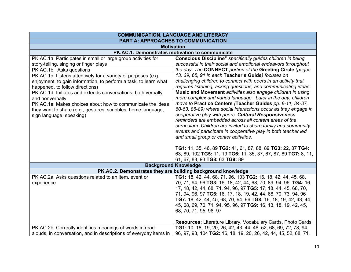| <b>COMMUNICATION, LANGUAGE AND LITERACY</b><br>PART A: APPROACHES TO COMMUNICATION                                           |  |
|------------------------------------------------------------------------------------------------------------------------------|--|
| <b>Motivation</b>                                                                                                            |  |
|                                                                                                                              |  |
| Conscious Discipline® specifically guides children in being                                                                  |  |
| successful in their social and emotional endeavors throughout                                                                |  |
| the day. The CONNECT portion of the Greeting Circle (pages                                                                   |  |
| 13, 39, 65, 91 in each Teacher's Guide) focuses on                                                                           |  |
| challenging children to connect with peers in an activity that                                                               |  |
| requires listening, asking questions, and communicating ideas.                                                               |  |
| Music and Movement activities also engage children in using                                                                  |  |
| more complex and varied language. Later in the day, children                                                                 |  |
| move to Practice Centers (Teacher Guides pp. 8-11, 34-37,<br>60-63, 86-89) where social interactions occur as they engage in |  |
| cooperative play with peers. Cultural Responsiveness                                                                         |  |
| reminders are embedded across all content areas of the                                                                       |  |
| curriculum. Children are invited to share family and community                                                               |  |
| events and participate in cooperative play in both teacher led                                                               |  |
|                                                                                                                              |  |
|                                                                                                                              |  |
| TG1: 11, 35, 46, 89 TG2: 41, 61, 87, 88, 89 TG3: 22, 37 TG4:                                                                 |  |
| 63, 89, 102 TG5: 11, 19 TG6: 11, 35, 37, 67, 87, 89 TG7: 8, 11,                                                              |  |
|                                                                                                                              |  |
| <b>Background Knowledge</b><br>PK.AC.2. Demonstrates they are building background knowledge                                  |  |
|                                                                                                                              |  |
| TG1: 18, 42, 44, 68, 71, 96, 103 TG2: 16, 18, 42, 44, 45, 68,                                                                |  |
| 70, 71, 94, 96 TG3: 16, 18, 42, 44, 68, 70, 89, 94, 96 TG4: 16,                                                              |  |
| 17, 18, 42, 44, 68, 71, 94, 96, 97 TG5: 17, 18, 44, 45, 68, 70,                                                              |  |
| 71, 94, 96, 97 TG6: 16, 17, 18, 19, 42, 44, 68, 70, 73, 94, 96                                                               |  |
| TG7: 18, 42, 44, 45, 68, 70, 94, 96 TG8: 16, 18, 19, 42, 43, 44,                                                             |  |
| 45, 68, 69, 70, 71, 94, 95, 96, 97 TG9: 16, 13, 18, 19, 42, 45,                                                              |  |
|                                                                                                                              |  |
| Resources: Literature Library, Vocabulary Cards, Photo Cards                                                                 |  |
| TG1: 10, 18, 19, 20, 26, 42, 43, 44, 46, 52, 68, 69, 72, 78, 94,                                                             |  |
| 96, 97, 98, 104 TG2: 16, 18, 19, 20, 26, 42, 44, 45, 52, 68, 71,                                                             |  |
|                                                                                                                              |  |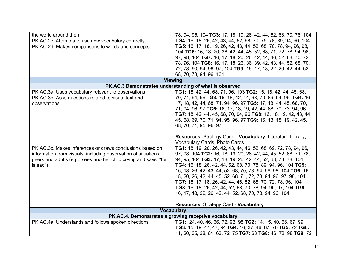| the world around them                                           | 78, 94, 95, 104 TG3: 17, 18, 19, 26, 42, 44, 52, 68, 70, 78, 104            |  |
|-----------------------------------------------------------------|-----------------------------------------------------------------------------|--|
| PK.AC.2c. Attempts to use new vocabulary correctly              | TG4: 16, 18, 26, 42, 43, 44, 52, 68, 70, 75, 78, 89, 94, 96, 104            |  |
| PK.AC.2d. Makes comparisons to words and concepts               | TG5: 16, 17, 18, 19, 26, 42, 43, 44, 52, 68, 70, 78, 94, 96, 98,            |  |
|                                                                 | 104 TG6: 16, 18, 20, 26, 42, 44, 45, 52, 68, 71, 72, 78, 94, 96,            |  |
|                                                                 | 97, 98, 104 TG7: 16, 17, 18, 20, 26, 42, 44, 46, 52, 68, 70, 72,            |  |
|                                                                 | 78, 96, 104 TG8: 16, 17, 18, 26, 36, 39, 42, 43, 44, 52, 68, 70,            |  |
|                                                                 | 72, 78, 90, 94, 96, 97, 104 TG9: 16, 17, 18, 22, 26, 42, 44, 52,            |  |
|                                                                 | 68, 70, 78, 94, 96, 104                                                     |  |
|                                                                 | <b>Viewing</b>                                                              |  |
| PK.AC.3 Demonstrates understanding of what is observed          |                                                                             |  |
| PK.AC.3a. Uses vocabulary relevant to observations              | <b>TG1:</b> 18, 42, 44, 68, 71, 96, 103 <b>TG2:</b> 16, 18, 42, 44, 45, 68, |  |
| PK.AC.3b. Asks questions related to visual text and             | 70, 71, 94, 96 TG3: 16, 18, 42, 44, 68, 70, 89, 94, 96 TG4: 16,             |  |
| observations                                                    | 17, 18, 42, 44, 68, 71, 94, 96, 97 TG5: 17, 18, 44, 45, 68, 70,             |  |
|                                                                 | 71, 94, 96, 97 TG6: 16, 17, 18, 19, 42, 44, 68, 70, 73, 94, 96              |  |
|                                                                 | TG7: 18, 42, 44, 45, 68, 70, 94, 96 TG8: 16, 18, 19, 42, 43, 44,            |  |
|                                                                 | 45, 68, 69, 70, 71, 94, 95, 96, 97 TG9: 16, 13, 18, 19, 42, 45,             |  |
|                                                                 | 68, 70, 71, 95, 96, 97                                                      |  |
|                                                                 |                                                                             |  |
|                                                                 |                                                                             |  |
|                                                                 | <b>Resources: Strategy Card - Vocabulary, Literature Library,</b>           |  |
|                                                                 | Vocabulary Cards, Photo Cards                                               |  |
| PK.AC.3c. Makes inferences or draws conclusions based on        | TG1: 18, 19, 20, 26, 42, 43, 44, 46, 52, 68, 69, 72, 78, 94, 96,            |  |
| information from visuals, including observation of situations,  | 97, 98, 104 TG2: 16, 18, 19, 20, 26, 42, 44, 45, 52, 68, 71, 78,            |  |
|                                                                 | 94, 95, 104 TG3: 17, 18, 19, 26, 42, 44, 52, 68, 70, 78, 104                |  |
| peers and adults (e.g., sees another child crying and says, "he |                                                                             |  |
| is sad")                                                        | TG4: 16, 18, 26, 42, 44, 52, 68, 70, 78, 89, 94, 96, 104 TG5:               |  |
|                                                                 | 16, 18, 26, 42, 43, 44, 52, 68, 70, 78, 94, 96, 98, 104 TG6: 16,            |  |
|                                                                 | 18, 20, 26, 42, 44, 45, 52, 68, 71, 72, 78, 94, 96, 97, 98, 104             |  |
|                                                                 | TG7: 16, 17, 18, 26, 42, 44, 46, 52, 68, 70, 72, 78, 96, 104                |  |
|                                                                 | TG8: 16, 18, 26, 42, 44, 52, 68, 70, 78, 94, 96, 97, 104 TG9:               |  |
|                                                                 | 16, 17, 18, 22, 26, 42, 44, 52, 68, 70, 78, 94, 96, 104                     |  |
|                                                                 | <b>Resources: Strategy Card - Vocabulary</b>                                |  |
|                                                                 | <b>Vocabulary</b>                                                           |  |
|                                                                 | PK.AC.4. Demonstrates a growing receptive vocabulary                        |  |
| PK.AC.4a. Understands and follows spoken directions             | TG1: 24, 40, 46, 66, 72, 92, 98 TG2: 14, 15, 40, 66, 67, 99                 |  |
|                                                                 | TG3: 15, 19, 47, 47, 94 TG4: 16, 37, 46, 67, 76 TG5: 72 TG6:                |  |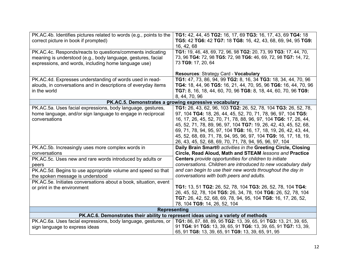| PK.AC.4b. Identifies pictures related to words (e.g., points to the               | TG1: 42, 44, 45 TG2: 16, 17, 69 TG3: 16, 17, 43, 69 TG4: 18                          |
|-----------------------------------------------------------------------------------|--------------------------------------------------------------------------------------|
| correct picture in book if prompted)                                              | TG5: 42 TG6: 42 TG7: 18 TG8: 16, 42, 43, 68, 69, 94, 95 TG9:                         |
|                                                                                   | 16, 42, 68                                                                           |
|                                                                                   | TG1: 19, 46, 48, 69, 72, 96, 98 TG2: 20, 73, 99 TG3: 17, 44, 70,                     |
| PK.AC.4c. Responds/reacts to questions/comments indicating                        |                                                                                      |
| meaning is understood (e.g., body language, gestures, facial                      | 73, 96 TG4: 72, 98 TG5: 72, 98 TG6: 46, 69, 72, 98 TG7: 14, 72,                      |
| expressions, and words, including home language use)                              | 73 TG9: 17, 20, 64                                                                   |
|                                                                                   |                                                                                      |
|                                                                                   | Resources: Strategy Card - Vocabulary                                                |
| PK.AC.4d. Expresses understanding of words used in read-                          | TG1: 47, 73, 86, 94, 99 TG2: 8, 16, 34 TG3: 18, 34, 44, 70, 96                       |
| alouds, in conversations and in descriptions of everyday items                    | <b>TG4:</b> 18, 44, 96 <b>TG5:</b> 16, 21, 44, 70, 95, 96 <b>TG6:</b> 16, 44, 70, 96 |
| in the world                                                                      | TG7: 8, 16, 18, 44, 60, 70, 96 TG8: 8, 18, 44, 60, 70, 96 TG9:                       |
|                                                                                   |                                                                                      |
|                                                                                   | 8, 44, 70, 96                                                                        |
|                                                                                   | PK.AC.5. Demonstrates a growing expressive vocabulary                                |
| PK.AC.5a. Uses facial expressions, body language, gestures,                       | TG1: 26, 43, 62, 96, 103 TG2: 26, 52, 78, 104 TG3: 26, 52, 78,                       |
| home language, and/or sign language to engage in reciprocal                       | 97, 104 TG4: 18, 26, 44, 45, 52, 70, 71, 78, 96, 97, 104 TG5:                        |
| conversations                                                                     | 16, 17, 26, 45, 52, 70, 71, 78, 88, 96, 97, 104 TG6: 17, 26, 44,                     |
|                                                                                   | 45, 52, 71, 78, 89, 96, 97, 104 TG7: 19, 26, 42, 43, 45, 52, 68,                     |
|                                                                                   |                                                                                      |
|                                                                                   | 69, 71, 78, 94, 95, 97, 104 TG8: 16, 17, 18, 19, 26, 42, 43, 44,                     |
|                                                                                   | 45, 52, 68, 69, 71, 78, 94, 95, 96, 97, 104 TG9: 16, 17, 18, 19,                     |
|                                                                                   | 26, 43, 45, 52, 68, 69, 70, 71, 78, 94, 95, 96, 97, 104                              |
| PK.AC.5b. Increasingly uses more complex words in                                 | Daily Brain Smart® activities in the Greeting Circle, Closing                        |
| conversations                                                                     | Circle, Read Aloud, Math and STEAM lessons and Practice                              |
|                                                                                   | Centers provide opportunities for children to initiate                               |
| PK.AC.5c. Uses new and rare words introduced by adults or                         |                                                                                      |
| peers                                                                             | conversations. Children are introduced to new vocabulary daily                       |
| PK.AC.5d. Begins to use appropriate volume and speed so that                      | and can begin to use their new words throughout the day in                           |
| the spoken message is understood                                                  | conversations with both peers and adults.                                            |
| PK.AC.5e. Initiates conversations about a book, situation, event                  |                                                                                      |
| or print in the environment                                                       | TG1: 13, 51 TG2: 26, 52, 78, 104 TG3: 26, 52, 78, 104 TG4:                           |
|                                                                                   | 26, 45, 52, 78, 104 TG5: 26, 34, 78, 104 TG6: 26, 52, 78, 104                        |
|                                                                                   | TG7: 26, 42, 52, 68, 69, 78, 94, 95, 104 TG8: 16, 17, 26, 52,                        |
|                                                                                   |                                                                                      |
|                                                                                   | 78, 104 TG9: 14, 26, 52, 104                                                         |
| <b>Representing</b>                                                               |                                                                                      |
| PK.AC.6. Demonstrates their ability to represent ideas using a variety of methods |                                                                                      |
| PK.AC.6a. Uses facial expressions, body language, gestures, or                    | TG1: 86, 87, 88, 89, 95 TG2: 13, 39, 65, 91 TG3: 13, 21, 39, 65,                     |
| sign language to express ideas                                                    | 91 TG4: 91 TG5: 13, 39, 65, 91 TG6: 13, 39, 65, 91 TG7: 13, 39,                      |
|                                                                                   | 65, 91 TG8: 13, 39, 65, 91 TG9: 13, 39, 65, 91, 95                                   |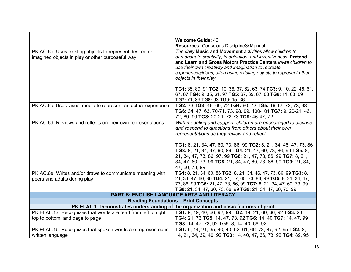|                                                                                                             | <b>Welcome Guide: 46</b>                                                                                                                                                                                                                                                                   |
|-------------------------------------------------------------------------------------------------------------|--------------------------------------------------------------------------------------------------------------------------------------------------------------------------------------------------------------------------------------------------------------------------------------------|
|                                                                                                             | Resources: Conscious Discipline® Manual                                                                                                                                                                                                                                                    |
| PK.AC.6b. Uses existing objects to represent desired or<br>imagined objects in play or other purposeful way | The daily Music and Movement activities allow children to<br>demonstrate creativity, imagination, and inventiveness. Pretend<br>and Learn and Gross Motors Practice Centers invite children to                                                                                             |
|                                                                                                             | use their own creativity and imagination to recreate<br>experiences/ideas, often using existing objects to represent other<br>objects in their play.                                                                                                                                       |
|                                                                                                             | TG1: 35, 89, 91 TG2: 10, 36, 37, 62, 63, 74 TG3: 9, 10, 22, 48, 61,<br>67, 87 TG4: 9, 35, 61, 97 TG5: 67, 69, 87, 88 TG6: 11, 63, 89<br>TG7: 71, 89 TG8: 93 TG9: 15, 36                                                                                                                    |
| PK.AC.6c. Uses visual media to represent an actual experience                                               | TG2: 73 TG3: 46, 60, 72 TG4: 60, 72 TG5: 16-17, 72, 73, 98<br>TG6: 34, 47, 63, 70-71, 73, 98, 99, 100-101 TG7: 9, 20-21, 46,<br>72, 89, 99 TG8: 20-21, 72-73 TG9: 46-47, 72                                                                                                                |
| PK.AC.6d. Reviews and reflects on their own representations                                                 | With modeling and support, children are encouraged to discuss<br>and respond to questions from others about their own<br>representations as they review and reflect.                                                                                                                       |
|                                                                                                             | TG1: 8, 21, 34, 47, 60, 73, 86, 99 TG2: 8, 21, 34, 46, 47, 73, 86<br>TG3: 8, 21, 34, 47, 60, 86 TG4: 21, 47, 60, 73, 86, 99 TG5: 8,<br>21, 34, 47, 73, 86, 97, 99 TG6: 21, 47, 73, 86, 99 TG7: 8, 21,<br>34, 47, 60, 73, 99 TG8: 21, 34, 47, 60, 73, 86, 99 TG9: 21, 34,<br>47, 60, 73, 99 |
| PK.AC.6e. Writes and/or draws to communicate meaning with<br>peers and adults during play                   | TG1: 8, 21, 34, 60, 86 TG2: 8, 21, 34, 46, 47, 73, 86, 99 TG3: 8,<br>21, 34, 47, 60, 86 TG4: 21, 47, 60, 73, 86, 99 TG5: 8, 21, 34, 47,<br>73, 86, 99 TG6: 21, 47, 73, 86, 99 TG7: 8, 21, 34, 47, 60, 73, 99<br>TG8: 21, 34, 47, 60, 73, 86, 99 TG9: 21, 34, 47, 60, 73, 99                |
|                                                                                                             | <b>PART B: ENGLISH LANGUAGE ARTS AND LITERACY</b>                                                                                                                                                                                                                                          |
|                                                                                                             | <b>Reading Foundations - Print Concepts</b>                                                                                                                                                                                                                                                |
|                                                                                                             | PK.ELAL.1. Demonstrates understanding of the organization and basic features of print                                                                                                                                                                                                      |
| PK.ELAL.1a. Recognizes that words are read from left to right,                                              | TG1: 9, 19, 40, 66, 92, 99 TG2: 14, 21, 60, 66, 92 TG3: 23                                                                                                                                                                                                                                 |
| top to bottom, and page to page                                                                             | TG4: 21, 73 TG5: 14, 47, 73, 92 TG6: 14, 40 TG7: 14, 47, 99<br>TG8: 14, 47, 73, 92 TG9: 8, 14, 40, 66, 92                                                                                                                                                                                  |
| PK.ELAL.1b. Recognizes that spoken words are represented in                                                 | TG1: 9, 14, 21, 35, 40, 43, 52, 61, 66, 73, 87, 92, 95 TG2: 8,                                                                                                                                                                                                                             |
| written language                                                                                            | 14, 21, 34, 39, 40, 92 TG3: 14, 40, 47, 66, 73, 92 TG4: 89, 95                                                                                                                                                                                                                             |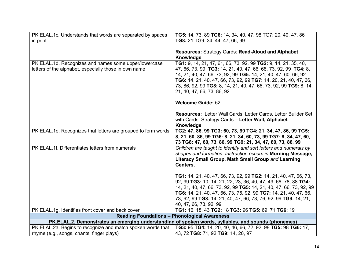| PK.ELAL.1c. Understands that words are separated by spaces    | TG5: 14, 73, 89 TG6: 14, 34, 40, 47, 98 TG7: 20, 40, 47, 86                                                                                                                                                                                                                                             |
|---------------------------------------------------------------|---------------------------------------------------------------------------------------------------------------------------------------------------------------------------------------------------------------------------------------------------------------------------------------------------------|
| in print                                                      | TG8: 21 TG9: 34, 44, 47, 66, 99                                                                                                                                                                                                                                                                         |
|                                                               |                                                                                                                                                                                                                                                                                                         |
|                                                               | <b>Resources: Strategy Cards: Read-Aloud and Alphabet</b><br>Knowledge                                                                                                                                                                                                                                  |
| PK.ELAL.1d. Recognizes and names some upper/lowercase         | TG1: 9, 14, 21, 47, 61, 66, 73, 92, 99 TG2: 9, 14, 21, 35, 40,                                                                                                                                                                                                                                          |
| letters of the alphabet, especially those in own name         | 47, 66, 73, 99 TG3: 14, 21, 40, 47, 66, 68, 73, 92, 99 TG4: 8,<br>14, 21, 40, 47, 66, 73, 92, 99 TG5: 14, 21, 40, 47, 60, 66, 92<br>TG6: 14, 21, 40, 47, 66, 73, 92, 99 TG7: 14, 20, 21, 40, 47, 66,<br>73, 86, 92, 99 TG8: 8, 14, 21, 40, 47, 66, 73, 92, 99 TG9: 8, 14,<br>21, 40, 47, 66, 73, 86, 92 |
|                                                               | <b>Welcome Guide: 52</b>                                                                                                                                                                                                                                                                                |
|                                                               | Resources: Letter Wall Cards, Letter Cards, Letter Builder Set<br>with Cards, Strategy Cards - Letter Wall, Alphabet<br>Knowledge                                                                                                                                                                       |
| PK.ELAL.1e. Recognizes that letters are grouped to form words | TG2: 47, 86, 99 TG3: 60, 73, 99 TG4: 21, 34, 47, 86, 99 TG5:<br>8, 21, 60, 86, 99 TG6: 8, 21, 34, 60, 73, 99 TG7: 8, 34, 47, 60,<br>73 TG8: 47, 60, 73, 86, 99 TG9: 21, 34, 47, 60, 73, 86, 99                                                                                                          |
| PK.ELAL.1f. Differentiates letters from numerals              | Children are taught to identify and sort letters and numerals by<br>shapes and formation. Instruction occurs in Morning Message,<br>Literacy Small Group, Math Small Group and Learning<br>Centers.                                                                                                     |
|                                                               | TG1: 14, 21, 40, 47, 66, 73, 92, 99 TG2: 14, 21, 40, 47, 66, 73,<br>92, 99 TG3: 10, 14, 21, 22, 23, 36, 40, 47, 49, 66, 78, 88 TG4:<br>14, 21, 40, 47, 66, 73, 92, 99 TG5: 14, 21, 40, 47, 66, 73, 92, 99                                                                                               |
|                                                               | TG6: 14, 21, 40, 47, 66, 73, 75, 92, 99 TG7: 14, 21, 40, 47, 66,                                                                                                                                                                                                                                        |
|                                                               | 73, 92, 99 TG8: 14, 21, 40, 47, 66, 73, 76, 92, 99 TG9: 14, 21,                                                                                                                                                                                                                                         |
|                                                               | 40, 47, 66, 73, 92, 99                                                                                                                                                                                                                                                                                  |
| PK.ELAL.1g. Identifies front cover and back cover             | TG1: 16, 18, 43 TG2: 18 TG3: 96 TG5: 69, 71 TG6: 19                                                                                                                                                                                                                                                     |
|                                                               | <b>Reading Foundations - Phonological Awareness</b>                                                                                                                                                                                                                                                     |
|                                                               | PK.ELAL.2. Demonstrates an emerging understanding of spoken words, syllables, and sounds (phonemes)                                                                                                                                                                                                     |
| PK.ELAL.2a. Begins to recognize and match spoken words that   | TG3: 95 TG4: 14, 20, 40, 46, 66, 72, 92, 98 TG5: 98 TG6: 17,                                                                                                                                                                                                                                            |
| rhyme (e.g., songs, chants, finger plays)                     | 43, 72 TG8: 71, 92 TG9: 14, 20, 97                                                                                                                                                                                                                                                                      |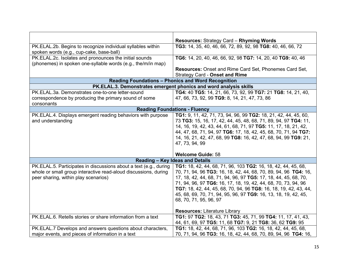|                                                                   | <b>Resources: Strategy Card - Rhyming Words</b>                   |
|-------------------------------------------------------------------|-------------------------------------------------------------------|
| PK.ELAL.2b. Begins to recognize individual syllables within       | TG3: 14, 35, 40, 46, 66, 72, 89, 92, 98 TG8: 40, 46, 66, 72       |
| spoken words (e.g., cup-cake, base-ball)                          |                                                                   |
| PK.ELAL.2c. Isolates and pronounces the initial sounds            | TG6: 14, 20, 40, 46, 66, 92, 98 TG7: 14, 20, 40 TG9: 40, 46       |
| (phonemes) in spoken one-syllable words (e.g., the/m/in map)      |                                                                   |
|                                                                   | <b>Resources:</b> Onset and Rime Card Set, Phonemes Card Set,     |
|                                                                   | <b>Strategy Card - Onset and Rime</b>                             |
|                                                                   | <b>Reading Foundations - Phonics and Word Recognition</b>         |
|                                                                   |                                                                   |
|                                                                   | PK.ELAL.3. Demonstrates emergent phonics and word analysis skills |
| PK.ELAL.3a. Demonstrates one-to-one letter-sound                  | TG4: 40 TG5: 14, 21, 66, 73, 92, 99 TG7: 21 TG8: 14, 21, 40,      |
| correspondence by producing the primary sound of some             | 47, 66, 73, 92, 99 TG9: 8, 14, 21, 47, 73, 86                     |
| consonants                                                        |                                                                   |
| <b>Reading Foundations - Fluency</b>                              |                                                                   |
| PK.ELAL.4. Displays emergent reading behaviors with purpose       | TG1: 9, 11, 42, 71, 73, 94, 96, 99 TG2: 18, 21, 42, 44, 45, 60,   |
| and understanding                                                 | 73 TG3: 15, 16, 17, 42, 44, 45, 48, 68, 71, 89, 94, 97 TG4: 11,   |
|                                                                   | 14, 16, 19, 42, 43, 44, 61, 68, 71, 97 TG5: 11, 17, 18, 21, 42,   |
|                                                                   | 44, 47, 68, 71, 94, 97 TG6: 17, 18, 42, 45, 68, 70, 71, 94 TG7:   |
|                                                                   | 14, 16, 21, 42, 47, 68, 99 TG8: 16, 42, 47, 68, 94, 99 TG9: 21,   |
|                                                                   | 47, 73, 94, 99                                                    |
|                                                                   |                                                                   |
|                                                                   | <b>Welcome Guide: 58</b>                                          |
| Reading - Key Ideas and Details                                   |                                                                   |
| PK.ELAL.5. Participates in discussions about a text (e.g., during | TG1: 18, 42, 44, 68, 71, 96, 103 TG2: 16, 18, 42, 44, 45, 68,     |
| whole or small group interactive read-aloud discussions, during   | 70, 71, 94, 96 TG3: 16, 18, 42, 44, 68, 70, 89, 94, 96 TG4: 16,   |
| peer sharing, within play scenarios)                              | 17, 18, 42, 44, 68, 71, 94, 96, 97 TG5: 17, 18, 44, 45, 68, 70,   |
|                                                                   | 71, 94, 96, 97 TG6: 16, 17, 18, 19, 42, 44, 68, 70, 73, 94, 96    |
|                                                                   | TG7: 18, 42, 44, 45, 68, 70, 94, 96 TG8: 16, 18, 19, 42, 43, 44,  |
|                                                                   | 45, 68, 69, 70, 71, 94, 95, 96, 97 TG9: 16, 13, 18, 19, 42, 45,   |
|                                                                   | 68, 70, 71, 95, 96, 97                                            |
|                                                                   |                                                                   |
|                                                                   | <b>Resources: Literature Library</b>                              |
| PK.ELAL.6. Retells stories or share information from a text       | TG1: 97 TG2: 18, 43, 71 TG3: 45, 71, 99 TG4: 11, 17, 41, 43,      |
|                                                                   | 44, 61, 69, 97 TG5: 11, 68 TG7: 9, 21 TG8: 36, 62 TG9: 95         |
| PK.ELAL.7 Develops and answers questions about characters,        | TG1: 18, 42, 44, 68, 71, 96, 103 TG2: 16, 18, 42, 44, 45, 68,     |
| major events, and pieces of information in a text                 | 70, 71, 94, 96 TG3: 16, 18, 42, 44, 68, 70, 89, 94, 96 TG4: 16,   |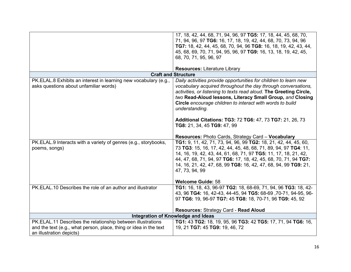|                                                                                                                                                              | 17, 18, 42, 44, 68, 71, 94, 96, 97 TG5: 17, 18, 44, 45, 68, 70,<br>71, 94, 96, 97 TG6: 16, 17, 18, 19, 42, 44, 68, 70, 73, 94, 96<br>TG7: 18, 42, 44, 45, 68, 70, 94, 96 TG8: 16, 18, 19, 42, 43, 44,<br>45, 68, 69, 70, 71, 94, 95, 96, 97 TG9: 16, 13, 18, 19, 42, 45,<br>68, 70, 71, 95, 96, 97                                                                                                                      |
|--------------------------------------------------------------------------------------------------------------------------------------------------------------|-------------------------------------------------------------------------------------------------------------------------------------------------------------------------------------------------------------------------------------------------------------------------------------------------------------------------------------------------------------------------------------------------------------------------|
|                                                                                                                                                              |                                                                                                                                                                                                                                                                                                                                                                                                                         |
|                                                                                                                                                              | <b>Resources: Literature Library</b>                                                                                                                                                                                                                                                                                                                                                                                    |
|                                                                                                                                                              | <b>Craft and Structure</b>                                                                                                                                                                                                                                                                                                                                                                                              |
| PK.ELAL.8 Exhibits an interest in learning new vocabulary (e.g.,<br>asks questions about unfamiliar words)                                                   | Daily activities provide opportunities for children to learn new<br>vocabulary acquired throughout the day through conversations,<br>activities, or listening to texts read aloud. The Greeting Circle,<br>two Read-Aloud lessons, Literacy Small Group, and Closing<br>Circle encourage children to interact with words to build<br>understanding.<br><b>Additional Citations: TG3: 72 TG6: 47, 73 TG7: 21, 26, 73</b> |
|                                                                                                                                                              | TG8: 21, 34, 45 TG9: 47, 99                                                                                                                                                                                                                                                                                                                                                                                             |
|                                                                                                                                                              | Resources: Photo Cards, Strategy Card - Vocabulary                                                                                                                                                                                                                                                                                                                                                                      |
| PK.ELAL.9 Interacts with a variety of genres (e.g., storybooks,<br>poems, songs)                                                                             | TG1: 9, 11, 42, 71, 73, 94, 96, 99 TG2: 18, 21, 42, 44, 45, 60,<br>73 TG3: 15, 16, 17, 42, 44, 45, 48, 68, 71, 89, 94, 97 TG4: 11,<br>14, 16, 19, 42, 43, 44, 61, 68, 71, 97 TG5: 11, 17, 18, 21, 42,<br>44, 47, 68, 71, 94, 97 TG6: 17, 18, 42, 45, 68, 70, 71, 94 TG7:<br>14, 16, 21, 42, 47, 68, 99 TG8: 16, 42, 47, 68, 94, 99 TG9: 21,<br>47, 73, 94, 99                                                           |
|                                                                                                                                                              | <b>Welcome Guide: 58</b>                                                                                                                                                                                                                                                                                                                                                                                                |
| PK.ELAL.10 Describes the role of an author and illustrator                                                                                                   | TG1: 16, 18, 43, 96-97 TG2: 18, 68-69, 71, 94, 96 TG3: 18, 42-<br>43, 96 TG4: 16, 42-43, 44-45, 94 TG5: 68-69, 70-71, 94-95, 96-<br>97 TG6: 19, 96-97 TG7: 45 TG8: 18, 70-71, 96 TG9: 45, 92                                                                                                                                                                                                                            |
|                                                                                                                                                              | Resources: Strategy Card - Read Aloud                                                                                                                                                                                                                                                                                                                                                                                   |
|                                                                                                                                                              | Integration of Knowledge and Ideas                                                                                                                                                                                                                                                                                                                                                                                      |
| PK.ELAL.11 Describes the relationship between illustrations<br>and the text (e.g., what person, place, thing or idea in the text<br>an illustration depicts) | TG1: 43 TG2: 18, 19, 95, 96 TG3: 42 TG5: 17, 71, 94 TG6: 16,<br>19, 21 TG7: 45 TG9: 19, 46, 72                                                                                                                                                                                                                                                                                                                          |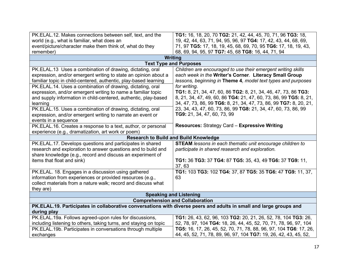| PK. ELAL. 12. Makes connections between self, text, and the                                                         | TG1: 16, 18, 20, 70 TG2: 21, 42, 44, 45, 70, 71, 96 TG3: 18,      |  |
|---------------------------------------------------------------------------------------------------------------------|-------------------------------------------------------------------|--|
| world (e.g., what is familiar, what does an                                                                         | 19, 42, 44, 63, 71, 94, 95, 96, 97 TG4: 17, 42, 43, 44, 68, 69,   |  |
| event/picture/character make them think of, what do they                                                            | 71, 97 TG5: 17, 18, 19, 45, 68, 69, 70, 95 TG6: 17, 18, 19, 43,   |  |
| remember)                                                                                                           | 68, 69, 94, 95, 97 TG7: 45, 68 TG8: 16, 44, 71, 94                |  |
| Writing                                                                                                             |                                                                   |  |
|                                                                                                                     | <b>Text Type and Purposes</b>                                     |  |
| PK.ELAL.13 Uses a combination of drawing, dictating, oral                                                           | Children are encouraged to use their emergent writing skills      |  |
| expression, and/or emergent writing to state an opinion about a                                                     | each week in the Writer's Corner. Literacy Small Group            |  |
| familiar topic in child-centered, authentic, play-based learning                                                    | lessons, beginning in Theme 4, model text types and purposes      |  |
| PK.ELAL.14. Uses a combination of drawing, dictating, oral                                                          | for writing.                                                      |  |
| expression, and/or emergent writing to name a familiar topic                                                        | TG1: 8, 21, 34, 47, 60, 86 TG2: 8, 21, 34, 46, 47, 73, 86 TG3:    |  |
| and supply information in child-centered, authentic, play-based                                                     | 8, 21, 34, 47, 49, 60, 86 TG4: 21, 47, 60, 73, 86, 99 TG5: 8, 21, |  |
| learning                                                                                                            | 34, 47, 73, 86, 99 TG6: 8, 21, 34, 47, 73, 86, 99 TG7: 8, 20, 21, |  |
| PK.ELAL.15. Uses a combination of drawing, dictating, oral                                                          | 23, 34, 43, 47, 60, 73, 86, 99 TG8: 21, 34, 47, 60, 73, 86, 99    |  |
| expression, and/or emergent writing to narrate an event or                                                          | TG9: 21, 34, 47, 60, 73, 99                                       |  |
| events in a sequence                                                                                                |                                                                   |  |
| PK.ELAL.16. Creates a response to a text, author, or personal                                                       | <b>Resources: Strategy Card - Expressive Writing</b>              |  |
| experience (e.g., dramatization, art work or poem)                                                                  |                                                                   |  |
| <b>Research to Build and Build Knowledge</b>                                                                        |                                                                   |  |
|                                                                                                                     |                                                                   |  |
| PK.ELAL.17. Develops questions and participates in shared                                                           | <b>STEAM</b> lessons in each thematic unit encourage children to  |  |
| research and exploration to answer questions and to build and                                                       | participate in shared research and exploration.                   |  |
| share knowledge (e.g., record and discuss an experiment of                                                          |                                                                   |  |
| items that float and sink)                                                                                          | TG1: 36 TG3: 37 TG4: 87 TG5: 35, 43, 49 TG6: 37 TG9: 11,          |  |
|                                                                                                                     | 37,63                                                             |  |
| PK.ELAL. 18. Engages in a discussion using gathered                                                                 | TG1: 103 TG3: 102 TG4: 37, 87 TG5: 35 TG6: 47 TG9: 11, 37,        |  |
| information from experiences or provided resources (e.g.,                                                           | 63                                                                |  |
| collect materials from a nature walk; record and discuss what                                                       |                                                                   |  |
| they are)                                                                                                           |                                                                   |  |
|                                                                                                                     | <b>Speaking and Listening</b>                                     |  |
|                                                                                                                     | <b>Comprehension and Collaboration</b>                            |  |
| PK.ELAL.19. Participates in collaborative conversations with diverse peers and adults in small and large groups and |                                                                   |  |
| during play                                                                                                         |                                                                   |  |
| PK.ELAL.19a. Follows agreed-upon rules for discussions,                                                             | TG1: 26, 43, 62, 96, 103 TG2: 20, 21, 26, 52, 78, 104 TG3: 26,    |  |
| including listening to others, taking turns, and staying on topic                                                   | 52, 78, 97, 104 TG4: 18, 26, 44, 45, 52, 70, 71, 78, 96, 97, 104  |  |
| PK.ELAL.19b. Participates in conversations through multiple                                                         | TG5: 16, 17, 26, 45, 52, 70, 71, 78, 88, 96, 97, 104 TG6: 17, 26, |  |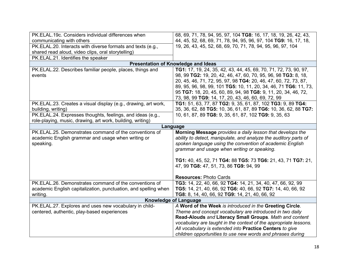| PK.ELAL.19c. Considers individual differences when              | 68, 69, 71, 78, 94, 95, 97, 104 TG8: 16, 17, 18, 19, 26, 42, 43, |
|-----------------------------------------------------------------|------------------------------------------------------------------|
| communicating with others                                       | 44, 45, 52, 68, 69, 71, 78, 94, 95, 96, 97, 104 TG9: 16, 17, 18, |
| PK.ELAL.20. Interacts with diverse formats and texts (e.g.,     | 19, 26, 43, 45, 52, 68, 69, 70, 71, 78, 94, 95, 96, 97, 104      |
| shared read aloud, video clips, oral storytelling)              |                                                                  |
| PK.ELAL.21. Identifies the speaker                              |                                                                  |
|                                                                 | <b>Presentation of Knowledge and Ideas</b>                       |
| PK.ELAL.22. Describes familiar people, places, things and       | TG1: 17, 19, 24, 35, 42, 43, 44, 45, 69, 70, 71, 72, 73, 90, 97, |
| events                                                          | 98, 99 TG2: 19, 20, 42, 46, 47, 60, 70, 95, 96, 98 TG3: 8, 18,   |
|                                                                 | 20, 45, 46, 71, 72, 95, 97, 98 TG4: 20, 46, 47, 60, 72, 73, 87,  |
|                                                                 | 89, 95, 96, 98, 99, 101 TG5: 10, 11, 20, 34, 46, 71 TG6: 11, 73, |
|                                                                 | 95 TG7: 18, 20, 45, 60, 89, 94, 98 TG8: 9, 11, 20, 34, 46, 72,   |
|                                                                 | 73, 98, 99 TG9: 14, 17, 20, 43, 46, 60, 69, 72, 99               |
| PK.ELAL.23. Creates a visual display (e.g., drawing, art work,  | TG1: 51, 63, 77, 87 TG2: 9, 35, 61, 87, 102 TG3: 9, 89 TG4:      |
| building, writing)                                              | 35, 36, 62, 88 TG5: 10, 36, 61, 87, 89 TG6: 10, 36, 62, 88 TG7:  |
| PK.ELAL.24. Expresses thoughts, feelings, and ideas (e.g.,      | 10, 61, 87, 89 TG8: 9, 35, 61, 87, 102 TG9: 9, 35, 63            |
| role-playing, music, drawing, art work, building, writing)      |                                                                  |
|                                                                 | Language                                                         |
| PK.ELAL.25. Demonstrates command of the conventions of          | Morning Message provides a daily lesson that develops the        |
| academic English grammar and usage when writing or              | ability to detect, manipulate, and analyze the auditory parts of |
| speaking.                                                       | spoken language using the convention of academic English         |
|                                                                 | grammar and usage when writing or speaking.                      |
|                                                                 |                                                                  |
|                                                                 | TG1: 40, 45, 52, 71 TG4: 88 TG5: 73 TG6: 21, 43, 71 TG7: 21,     |
|                                                                 | 47, 99 TG8: 47, 51, 73, 86 TG9: 94, 99                           |
|                                                                 |                                                                  |
|                                                                 | <b>Resources: Photo Cards</b>                                    |
| PK.ELAL.26. Demonstrates command of the conventions of          | TG3: 14, 22, 40, 66, 92 TG4: 14, 21, 34, 40, 47, 66, 92, 99      |
| academic English capitalization, punctuation, and spelling when | TG5: 14, 21, 40, 66, 92 TG6: 40, 66, 92 TG7: 14, 40, 66, 92      |
| writing.                                                        | TG8: 8, 14, 40, 66, 92 TG9: 14, 21, 40, 66, 92                   |
| <b>Knowledge of Language</b>                                    |                                                                  |
| PK.ELAL.27. Explores and uses new vocabulary in child-          | A Word of the Week is introduced in the Greeting Circle.         |
| centered, authentic, play-based experiences                     | Theme and concept vocabulary are introduced in two daily         |
|                                                                 | Read-Alouds and Literacy Small Groups. Math and content          |
|                                                                 | vocabulary are taught in the context of the appropriate lessons. |
|                                                                 | All vocabulary is extended into Practice Centers to give         |
|                                                                 | children opportunities to use new words and phrases during       |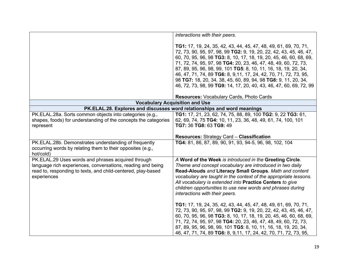|                                                                                                                                                                                                  | interactions with their peers.                                                                                                                                                                                                                                                                                                                                                                                                                                                                                                                                  |
|--------------------------------------------------------------------------------------------------------------------------------------------------------------------------------------------------|-----------------------------------------------------------------------------------------------------------------------------------------------------------------------------------------------------------------------------------------------------------------------------------------------------------------------------------------------------------------------------------------------------------------------------------------------------------------------------------------------------------------------------------------------------------------|
|                                                                                                                                                                                                  | TG1: 17, 19, 24, 35, 42, 43, 44, 45, 47, 48, 49, 61, 69, 70, 71,<br>72, 73, 90, 95, 97, 98, 99 TG2: 9, 19, 20, 22, 42, 43, 45, 46, 47,<br>60, 70, 95, 96, 98 TG3: 8, 10, 17, 18, 19, 20, 45, 46, 60, 68, 69,<br>71, 72, 74, 95, 97, 98 TG4: 20, 23, 46, 47, 48, 49, 60, 72, 73,<br>87, 89, 95, 96, 98, 99, 101 TG5: 8, 10, 11, 16, 18, 19, 20, 34,<br>46, 47, 71, 74, 89 TG6: 8, 9, 11, 17, 24, 42, 70, 71, 72, 73, 95,<br>98 TG7: 18, 20, 34, 38, 45, 60, 89, 94, 98 TG8: 9, 11, 20, 34,<br>46, 72, 73, 98, 99 TG9: 14, 17, 20, 40, 43, 46, 47, 60, 69, 72, 99 |
|                                                                                                                                                                                                  | <b>Resources: Vocabulary Cards, Photo Cards</b>                                                                                                                                                                                                                                                                                                                                                                                                                                                                                                                 |
|                                                                                                                                                                                                  | <b>Vocabulary Acquisition and Use</b>                                                                                                                                                                                                                                                                                                                                                                                                                                                                                                                           |
|                                                                                                                                                                                                  | PK.ELAL.28. Explores and discusses word relationships and word meanings                                                                                                                                                                                                                                                                                                                                                                                                                                                                                         |
| PK.ELAL.28a. Sorts common objects into categories (e.g.,<br>shapes, foods) for understanding of the concepts the categories<br>represent                                                         | TG1: 17, 21, 23, 62, 74, 75, 88, 89, 100 TG2: 9, 22 TG3: 61,<br>62, 69, 74, 75 TG4: 10, 11, 23, 36, 48, 49, 61, 74, 100, 101<br>TG7: 36 TG8: 63 TG9: 49                                                                                                                                                                                                                                                                                                                                                                                                         |
|                                                                                                                                                                                                  | <b>Resources: Strategy Card - Classification</b>                                                                                                                                                                                                                                                                                                                                                                                                                                                                                                                |
| PK.ELAL.28b. Demonstrates understanding of frequently<br>occurring words by relating them to their opposites (e.g.,<br>hot/cold)                                                                 | TG4: 81, 86, 87, 89, 90, 91, 93, 94-5, 96, 98, 102, 104                                                                                                                                                                                                                                                                                                                                                                                                                                                                                                         |
| PK.ELAL.29 Uses words and phrases acquired through<br>language rich experiences, conversations, reading and being<br>read to, responding to texts, and child-centered, play-based<br>experiences | A Word of the Week is introduced in the Greeting Circle.<br>Theme and concept vocabulary are introduced in two daily<br>Read-Alouds and Literacy Small Groups. Math and content<br>vocabulary are taught in the context of the appropriate lessons.<br>All vocabulary is extended into Practice Centers to give<br>children opportunities to use new words and phrases during<br>interactions with their peers.                                                                                                                                                 |
|                                                                                                                                                                                                  | TG1: 17, 19, 24, 35, 42, 43, 44, 45, 47, 48, 49, 61, 69, 70, 71,<br>72, 73, 90, 95, 97, 98, 99 TG2: 9, 19, 20, 22, 42, 43, 45, 46, 47,<br>60, 70, 95, 96, 98 TG3: 8, 10, 17, 18, 19, 20, 45, 46, 60, 68, 69,<br>71, 72, 74, 95, 97, 98 TG4: 20, 23, 46, 47, 48, 49, 60, 72, 73,<br>87, 89, 95, 96, 98, 99, 101 TG5: 8, 10, 11, 16, 18, 19, 20, 34,<br>46, 47, 71, 74, 89 TG6: 8, 9, 11, 17, 24, 42, 70, 71, 72, 73, 95,                                                                                                                                         |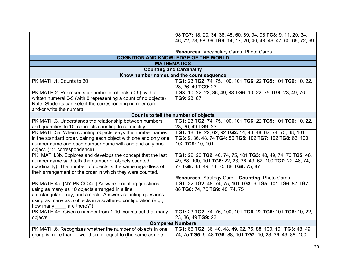|                                                                  | 98 TG7: 18, 20, 34, 38, 45, 60, 89, 94, 98 TG8: 9, 11, 20, 34,     |
|------------------------------------------------------------------|--------------------------------------------------------------------|
|                                                                  | 46, 72, 73, 98, 99 TG9: 14, 17, 20, 40, 43, 46, 47, 60, 69, 72, 99 |
|                                                                  |                                                                    |
|                                                                  | Resources: Vocabulary Cards, Photo Cards                           |
|                                                                  | <b>COGNITION AND KNOWLEDGE OF THE WORLD</b>                        |
|                                                                  | <b>MATHEMATICS</b>                                                 |
| <b>Counting and Cardinality</b>                                  |                                                                    |
| Know number names and the count sequence                         |                                                                    |
| PK.MATH.1. Counts to 20                                          | TG1: 23 TG2: 74, 75, 100, 101 TG6: 22 TG5: 101 TG6: 10, 22,        |
|                                                                  | 23, 36, 49 TG9: 23                                                 |
| PK.MATH.2. Represents a number of objects (0-5), with a          | TG3: 10, 22, 23, 36, 49, 88 TG6: 10, 22, 75 TG8: 23, 49, 76        |
| written numeral 0-5 (with 0 representing a count of no objects)  | TG9: 23, 87                                                        |
| Note: Students can select the corresponding number card          |                                                                    |
| and/or write the numeral.                                        |                                                                    |
|                                                                  | Counts to tell the number of objects                               |
| PK.MATH.3. Understands the relationship between numbers          | TG1: 23 TG2: 74, 75, 100, 101 TG6: 22 TG5: 101 TG6: 10, 22,        |
| and quantities to 10, connects counting to cardinality           | 23, 36, 49 TG9: 23                                                 |
| PK.MATH.3a. When counting objects, says the number names         | TG1: 18, 19, 22, 62, 92 TG2: 14, 40, 48, 62, 74, 75, 88, 101       |
| in the standard order, pairing each object with one and only one | TG3: 9, 36, 48, 74 TG4: 50 TG5: 102 TG7: 102 TG8: 62, 100,         |
| number name and each number name with one and only one           | 102 TG9: 10, 101                                                   |
| object. (1:1 correspondence)                                     |                                                                    |
| PK. MATH.3b. Explores and develops the concept that the last     | TG1: 22, 23 TG2: 40, 74, 75, 101 TG3: 48, 49, 74, 76 TG5: 48,      |
| number name said tells the number of objects counted,            | 49, 88, 100, 101 TG6: 22, 23, 36, 49, 62, 100 TG7: 22, 48, 74,     |
| (cardinality). The number of objects is the same regardless of   | 77 TG8: 48, 49, 74, 75, 88 TG9: 75, 87                             |
| their arrangement or the order in which they were counted.       |                                                                    |
|                                                                  |                                                                    |
|                                                                  | <b>Resources: Strategy Card - Counting, Photo Cards</b>            |
| PK.MATH.4a. [NY-PK.CC.4a.] Answers counting questions            | TG1: 22 TG2: 48, 74, 75, 101 TG3: 9 TG5: 101 TG6: 87 TG7:          |
| using as many as 10 objects arranged in a line,                  | 88 TG8: 74, 75 TG9: 48, 74, 75                                     |
| a rectangular array, and a circle. Answers counting questions    |                                                                    |
| using as many as 5 objects in a scattered configuration (e.g.,   |                                                                    |
| are there?")<br>how many                                         |                                                                    |
| PK.MATH.4b. Given a number from 1-10, counts out that many       | TG1: 23 TG2: 74, 75, 100, 101 TG6: 22 TG5: 101 TG6: 10, 22,        |
| objects                                                          | 23, 36, 49 TG9: 23                                                 |
|                                                                  | <b>Compares Numbers</b>                                            |
| PK.MATH.6. Recognizes whether the number of objects in one       | TG1: 66 TG2: 36, 40, 48, 49, 62, 75, 88, 100, 101 TG3: 48, 49,     |
| group is more than, fewer than, or equal to (the same as) the    | 74, 75 TG5: 9, 48 TG6: 88, 101 TG7: 10, 23, 36, 49, 88, 100,       |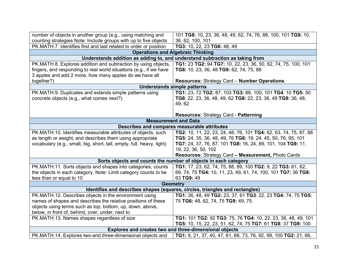| number of objects in another group (e.g., using matching and                 | 101 TG8: 10, 23, 36, 48, 49, 62, 74, 76, 88, 100, 101 TG9: 10,               |
|------------------------------------------------------------------------------|------------------------------------------------------------------------------|
| counting strategies Note: Include groups with up to five objects             | 36, 62, 100, 101                                                             |
| PK.MATH.7. Identifies first and last related to order or position            | TG3: 10, 22, 23 TG6: 48, 49                                                  |
|                                                                              | <b>Operations and Algebraic Thinking</b>                                     |
|                                                                              | Understands addition as adding to, and understand subtraction as taking from |
| PK.MATH.8. Explores addition and subtraction by using objects,               | TG1: 23 TG2: 94 TG7: 10, 22, 23, 36, 50, 62, 74, 75, 100, 101                |
| fingers, and responding to real world situations (e.g., if we have           | TG8: 10, 23, 36, 48 TG9: 62, 74, 75, 88                                      |
| 3 apples and add 2 more, how many apples do we have all                      |                                                                              |
| together?)                                                                   | <b>Resources: Strategy Card - Number Operations</b>                          |
|                                                                              | <b>Understands simple patterns</b>                                           |
| PK.MATH.9. Duplicates and extends simple patterns using                      | TG1: 23, 72 TG2: 87, 103 TG3: 88, 100, 101 TG4: 10 TG5: 50                   |
| concrete objects (e.g., what comes next?)                                    | TG6: 22, 23, 36, 48, 49, 62 TG8: 22, 23, 36, 49 TG9: 36, 48,                 |
|                                                                              | 49, 62                                                                       |
|                                                                              |                                                                              |
|                                                                              | <b>Resources: Strategy Card - Patterning</b>                                 |
| <b>Measurement and Data</b>                                                  |                                                                              |
| Describes and compares measurable attributes                                 |                                                                              |
| PK.MATH.10. Identifies measurable attributes of objects, such                | TG2: 10, 11, 22, 23, 24, 48, 76, 101 TG4: 62, 63, 74, 75, 87, 88             |
| as length or weight, and describes them using appropriate                    | TG5: 24, 35, 36, 48, 49, 76 TG6: 19, 24, 45, 50, 76, 95, 101                 |
| vocabulary (e.g., small, big, short, tall, empty, full, heavy, light)        | TG7: 24, 37, 76, 87, 101 TG8: 16, 24, 89, 101, 104 TG9: 11,                  |
|                                                                              | 19, 22, 36, 50, 102                                                          |
|                                                                              | <b>Resources: Strategy Card - Measurement, Photo Cards</b>                   |
|                                                                              | Sorts objects and counts the number of objects in each category              |
| PK.MATH.11. Sorts objects and shapes into categories; counts                 | TG1: 17, 23, 62, 74, 75, 88, 89, 100 TG2: 9, 22 TG3: 61, 62,                 |
| the objects in each category. Note: Limit category counts to be              | 69, 74, 75 TG4: 10, 11, 23, 49, 61, 74, 100, 101 TG7: 36 TG8:                |
| less than or equal to 10                                                     | 63 TG9: 49                                                                   |
| <b>Geometry</b>                                                              |                                                                              |
| Identifies and describes shapes (squares, circles, triangles and rectangles) |                                                                              |
| PK.MATH.12. Describes objects in the environment using                       | TG1: 36, 48, 49 TG2: 23, 37, 61 TG3: 22, 23 TG4: 74, 75 TG5:                 |
| names of shapes and describes the relative positions of these                | 75 TG6: 48, 62, 74, 75 TG9: 49, 75                                           |
| objects using terms such as top, bottom, up, down, above,                    |                                                                              |
| below, in front of, behind, over, under, next to                             |                                                                              |
| PK.MATH.13. Names shapes regardless of size                                  | TG1: 101 TG2: 92 TG3: 75, 76 TG4: 10, 22, 23, 36, 48, 49, 101                |
|                                                                              | TG5: 10, 15, 22, 23, 51, 62, 74, 75 TG7: 61 TG8: 37 TG9: 100                 |
| Explores and creates two and three-dimensional objects                       |                                                                              |
| PK.MATH.14. Explores two-and three-dimensional objects and                   | TG1: 9, 21, 37, 40, 47, 61, 66, 73, 76, 92, 99, 100 TG2: 21, 66,             |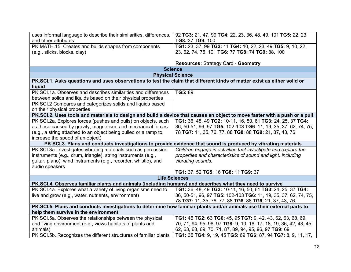| uses informal language to describe their similarities, differences,                                                      | 92 TG3: 21, 47, 99 TG4: 22, 23, 36, 48, 49, 101 TG5: 22, 23                                                                |
|--------------------------------------------------------------------------------------------------------------------------|----------------------------------------------------------------------------------------------------------------------------|
| and other attributes                                                                                                     | TG8: 37 TG9: 100                                                                                                           |
| PK.MATH.15. Creates and builds shapes from components                                                                    | TG1: 23, 37, 99 TG2: 11 TG4: 10, 22, 23, 49 TG5: 9, 10, 22,                                                                |
| (e.g., sticks, blocks, clay)                                                                                             | 23, 62, 74, 75, 101 TG6: 77 TG8: 74 TG9: 88, 100                                                                           |
|                                                                                                                          |                                                                                                                            |
|                                                                                                                          | <b>Resources: Strategy Card - Geometry</b>                                                                                 |
| <b>Science</b>                                                                                                           |                                                                                                                            |
| <b>Physical Science</b>                                                                                                  |                                                                                                                            |
| PK.SCI.1. Asks questions and uses observations to test the claim that different kinds of matter exist as either solid or |                                                                                                                            |
| liquid                                                                                                                   |                                                                                                                            |
| PK.SCI.1a. Observes and describes similarities and differences                                                           | TG5: 89                                                                                                                    |
| between solids and liquids based on their physical properties                                                            |                                                                                                                            |
| PK.SCI.2 Compares and categorizes solids and liquids based                                                               |                                                                                                                            |
| on their physical properties                                                                                             |                                                                                                                            |
|                                                                                                                          | PK.SCI.2. Uses tools and materials to design and build a device that causes an object to move faster with a push or a pull |
| PK.SCI.2a. Explores forces (pushes and pulls) on objects, such                                                           | TG1: 36, 48, 49 TG2: 10-11, 16, 50, 61 TG3: 24, 25, 37 TG4:                                                                |
| as those caused by gravity, magnetism, and mechanical forces                                                             | 36, 50-51, 96, 97 TG5: 102-103 TG6: 11, 19, 35, 37, 62, 74, 75,                                                            |
| (e.g., a string attached to an object being pulled or a ramp to                                                          | 78 TG7: 11, 35, 76, 77, 88 TG8: 88 TG9: 21, 37, 43, 76                                                                     |
| increase the speed of an object)                                                                                         |                                                                                                                            |
|                                                                                                                          | PK.SCI.3. Plans and conducts investigations to provide evidence that sound is produced by vibrating materials              |
| PK.SCI.3a. Investigates vibrating materials such as percussion                                                           | Children engage in activities that investigate and explore the                                                             |
| instruments (e.g., drum, triangle), string instruments (e.g.,                                                            | properties and characteristics of sound and light, including                                                               |
| guitar, piano), wind instruments (e.g., recorder, whistle), and                                                          | vibrating sounds.                                                                                                          |
| audio speakers                                                                                                           |                                                                                                                            |
|                                                                                                                          | TG1: 37, 52 TG5: 16 TG8: 11 TG9: 37                                                                                        |
| <b>Life Sciences</b>                                                                                                     |                                                                                                                            |
| PK.SCI.4. Observes familiar plants and animals (including humans) and describes what they need to survive                |                                                                                                                            |
| PK.SCI.4a. Explores what a variety of living organisms need to                                                           | TG1: 36, 48, 49 TG2: 10-11, 16, 50, 61 TG3: 24, 25, 37 TG4:                                                                |
| live and grow (e.g., water, nutrients, environment)                                                                      | 36, 50-51, 96, 97 TG5: 102-103 TG6: 11, 19, 35, 37, 62, 74, 75,                                                            |
|                                                                                                                          | 78 TG7: 11, 35, 76, 77, 88 TG8: 88 TG9: 21, 37, 43, 76                                                                     |
| PK.SCI.5. Plans and conducts investigations to determine how familiar plants and/or animals use their external parts to  |                                                                                                                            |
| help them survive in the environment                                                                                     |                                                                                                                            |
| PK.SCI.5a. Observes the relationships between the physical                                                               | TG1: 45 TG2: 63 TG6: 45, 95 TG7: 9, 42, 43, 62, 63, 68, 69,                                                                |
| and living environment (e.g., views habitats of plants and                                                               | 70, 71, 94, 95, 96, 97 TG8: 9, 10, 16, 17, 18, 19, 36, 42, 43, 45,                                                         |
| animals)                                                                                                                 | 62, 63, 68, 69, 70, 71, 87, 89, 94, 95, 96, 97 TG9: 69                                                                     |
| PK.SCI.5b. Recognizes the different structures of familiar plants                                                        | TG1: 35 TG4: 9, 19, 45 TG5: 69 TG6: 87, 94 TG7: 8, 9, 11, 17,                                                              |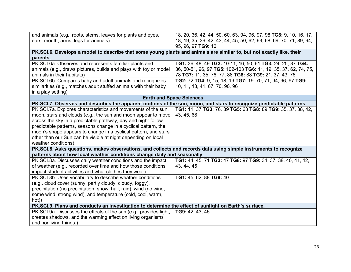| and animals (e.g., roots, stems, leaves for plants and eyes,                                                                       | 18, 20, 36, 42, 44, 50, 60, 63, 94, 96, 97, 98 TG8: 9, 10, 16, 17,                        |  |
|------------------------------------------------------------------------------------------------------------------------------------|-------------------------------------------------------------------------------------------|--|
| ears, mouth, arms, legs for animals)                                                                                               | 18, 19, 35, 36, 42, 43, 44, 45, 50, 62, 63, 68, 69, 70, 71, 89, 94,<br>95, 96, 97 TG9: 10 |  |
| PK.SCI.6. Develops a model to describe that some young plants and animals are similar to, but not exactly like, their              |                                                                                           |  |
| parents.                                                                                                                           |                                                                                           |  |
| PK.SCI.6a. Observes and represents familiar plants and                                                                             | TG1: 36, 48, 49 TG2: 10-11, 16, 50, 61 TG3: 24, 25, 37 TG4:                               |  |
| animals (e.g., draws pictures, builds and plays with toy or model                                                                  | 36, 50-51, 96, 97 TG5: 102-103 TG6: 11, 19, 35, 37, 62, 74, 75,                           |  |
| animals in their habitats)                                                                                                         | 78 TG7: 11, 35, 76, 77, 88 TG8: 88 TG9: 21, 37, 43, 76                                    |  |
| PK.SCI.6b. Compares baby and adult animals and recognizes                                                                          | TG2: 72 TG4: 9, 15, 18, 19 TG7: 19, 70, 71, 94, 96, 97 TG9:                               |  |
| similarities (e.g., matches adult stuffed animals with their baby                                                                  | 10, 11, 18, 41, 67, 70, 90, 96                                                            |  |
| in a play setting)                                                                                                                 |                                                                                           |  |
| <b>Earth and Space Sciences</b>                                                                                                    |                                                                                           |  |
| PK.SCI.7. Observes and describes the apparent motions of the sun, moon, and stars to recognize predictable patterns                |                                                                                           |  |
| PK.SCI.7a. Explores characteristics and movements of the sun,                                                                      | TG1: 11, 37 TG3: 76, 89 TG5: 63 TG8: 89 TG9: 35, 37, 38, 42,                              |  |
| moon, stars and clouds (e.g., the sun and moon appear to move                                                                      | 43, 45, 68                                                                                |  |
| across the sky in a predictable pathway, day and night follow                                                                      |                                                                                           |  |
| predictable patterns, seasons change in a cyclical pattern, the<br>moon's shape appears to change in a cyclical pattern, and stars |                                                                                           |  |
| other than our Sun can be visible at night depending on local                                                                      |                                                                                           |  |
| weather conditions)                                                                                                                |                                                                                           |  |
| PK.SCI.8. Asks questions, makes observations, and collects and records data using simple instruments to recognize                  |                                                                                           |  |
| patterns about how local weather conditions change daily and seasonally.                                                           |                                                                                           |  |
| PK.SCI.8a. Discusses daily weather conditions and the impact                                                                       | TG1: 44, 45, 71 TG3: 47 TG8: 97 TG9: 34, 37, 38, 40, 41, 42,                              |  |
| of weather (e.g., recorded over time and how those conditions                                                                      | 43, 44, 45                                                                                |  |
| impact student activities and what clothes they wear)                                                                              |                                                                                           |  |
| PK.SCI.8b. Uses vocabulary to describe weather conditions                                                                          | TG1: 45, 62, 88 TG9: 40                                                                   |  |
| (e.g., cloud cover (sunny, partly cloudy, cloudy, foggy),                                                                          |                                                                                           |  |
| precipitation (no precipitation, snow, hail, rain), wind (no wind,                                                                 |                                                                                           |  |
| some wind, strong wind), and temperature (cold, cool, warm,                                                                        |                                                                                           |  |
| hot))                                                                                                                              |                                                                                           |  |
| PK.SCI.9. Plans and conducts an investigation to determine the effect of sunlight on Earth's surface.                              |                                                                                           |  |
| PK.SCI.9a. Discusses the effects of the sun (e.g., provides light,                                                                 | TG9: 42, 43, 45                                                                           |  |
| creates shadows, and the warming effect on living organisms                                                                        |                                                                                           |  |
| and nonliving things.)                                                                                                             |                                                                                           |  |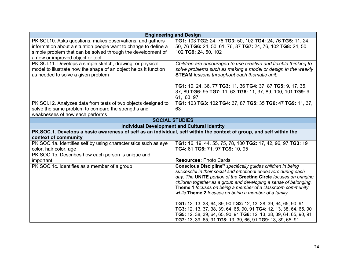| <b>Engineering and Design</b>                                                                                                                                                                                                     |                                                                                                                                                                                                                                                                                                                                                                                                                                                                              |
|-----------------------------------------------------------------------------------------------------------------------------------------------------------------------------------------------------------------------------------|------------------------------------------------------------------------------------------------------------------------------------------------------------------------------------------------------------------------------------------------------------------------------------------------------------------------------------------------------------------------------------------------------------------------------------------------------------------------------|
| PK.SCI.10. Asks questions, makes observations, and gathers<br>information about a situation people want to change to define a<br>simple problem that can be solved through the development of<br>a new or improved object or tool | TG1: 103 TG2: 24, 76 TG3: 50, 102 TG4: 24, 76 TG5: 11, 24,<br>50, 76 TG6: 24, 50, 61, 76, 87 TG7: 24, 76, 102 TG8: 24, 50,<br>102 TG9: 24, 50, 102                                                                                                                                                                                                                                                                                                                           |
| PK.SCI.11. Develops a simple sketch, drawing, or physical<br>model to illustrate how the shape of an object helps it function<br>as needed to solve a given problem                                                               | Children are encouraged to use creative and flexible thinking to<br>solve problems such as making a model or design in the weekly<br><b>STEAM</b> lessons throughout each thematic unit.                                                                                                                                                                                                                                                                                     |
|                                                                                                                                                                                                                                   | TG1: 10, 24, 36, 77 TG3: 11, 36 TG4: 37, 87 TG5: 9, 17, 35,<br>37, 89 TG6: 95 TG7: 11, 63 TG8: 11, 37, 89, 100, 101 TG9: 9,<br>61, 63, 97                                                                                                                                                                                                                                                                                                                                    |
| PK.SCI.12. Analyzes data from tests of two objects designed to<br>solve the same problem to compare the strengths and<br>weaknesses of how each performs                                                                          | TG1: 103 TG3: 102 TG4: 37, 87 TG5: 35 TG6: 47 TG9: 11, 37,<br>63                                                                                                                                                                                                                                                                                                                                                                                                             |
| <b>SOCIAL STUDIES</b>                                                                                                                                                                                                             |                                                                                                                                                                                                                                                                                                                                                                                                                                                                              |
| <b>Individual Development and Cultural Identity</b>                                                                                                                                                                               |                                                                                                                                                                                                                                                                                                                                                                                                                                                                              |
| PK.SOC.1. Develops a basic awareness of self as an individual, self within the context of group, and self within the<br>context of community                                                                                      |                                                                                                                                                                                                                                                                                                                                                                                                                                                                              |
| PK.SOC.1a. Identifies self by using characteristics such as eye<br>color, hair color, age<br>PK.SOC.1b. Describes how each person is unique and                                                                                   | TG1: 16, 19, 44, 55, 75, 78, 100 TG2: 17, 42, 96, 97 TG3: 19<br>TG4: 61 TG6: 71, 97 TG9: 10, 95                                                                                                                                                                                                                                                                                                                                                                              |
| important                                                                                                                                                                                                                         | <b>Resources: Photo Cards</b>                                                                                                                                                                                                                                                                                                                                                                                                                                                |
| PK.SOC.1c. Identifies as a member of a group                                                                                                                                                                                      | Conscious Discipline <sup>®</sup> specifically guides children in being<br>successful in their social and emotional endeavors during each<br>day. The UNITE portion of the Greeting Circle focuses on bringing<br>children together as a group and developing a sense of belonging.<br>Theme 1 focuses on being a member of a classroom community<br>while Theme 2 focuses on being a member of a family.<br>TG1: 12, 13, 38, 64, 89, 90 TG2: 12, 13, 38, 39, 64, 65, 90, 91 |
|                                                                                                                                                                                                                                   | TG3: 12, 13, 37, 38, 39, 64, 65, 90, 91 TG4: 12, 13, 38, 64, 65, 90<br>TG5: 12, 38, 39, 64, 65, 90, 91 TG6: 12, 13, 38, 39, 64, 65, 90, 91<br>TG7: 13, 39, 65, 91 TG8: 13, 39, 65, 91 TG9: 13, 39, 65, 91                                                                                                                                                                                                                                                                    |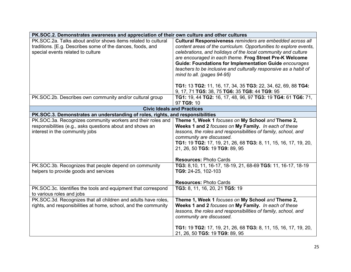| PK.SOC.2. Demonstrates awareness and appreciation of their own culture and other cultures |                                                                                      |
|-------------------------------------------------------------------------------------------|--------------------------------------------------------------------------------------|
| PK.SOC.2a. Talks about and/or shows items related to cultural                             | Cultural Responsiveness reminders are embedded across all                            |
| traditions. [E.g. Describes some of the dances, foods, and                                | content areas of the curriculum. Opportunities to explore events,                    |
| special events related to culture                                                         | celebrations, and holidays of the local community and culture                        |
|                                                                                           | are encouraged in each theme. Frog Street Pre-K Welcome                              |
|                                                                                           | <b>Guide: Foundations for Implementation Guide encourages</b>                        |
|                                                                                           | teachers to be inclusive and culturally responsive as a habit of                     |
|                                                                                           | mind to all. (pages 94-95)                                                           |
|                                                                                           |                                                                                      |
|                                                                                           | TG1: 13 TG2: 11, 16, 17, 34, 35 TG3: 22, 34, 62, 69, 88 TG4:                         |
|                                                                                           | 9, 17, 71 TG5: 38, 75 TG6: 35 TG8: 44 TG9: 95                                        |
| PK.SOC.2b. Describes own community and/or cultural group                                  | TG1: 19, 44 TG2: 16, 17, 48, 96, 97 TG3: 19 TG4: 61 TG6: 71,                         |
|                                                                                           | 97 TG9: 10                                                                           |
|                                                                                           | <b>Civic Ideals and Practices</b>                                                    |
| PK.SOC.3. Demonstrates an understanding of roles, rights, and responsibilities            |                                                                                      |
| PK.SOC.3a. Recognizes community workers and their roles and                               | Theme 1, Week 1 focuses on My School and Theme 2,                                    |
| responsibilities (e.g., asks questions about and shows an                                 | Weeks 1 and 2 focuses on My Family. In each of these                                 |
| interest in the community jobs                                                            | lessons, the roles and responsibilities of family, school, and                       |
|                                                                                           | community are discussed.                                                             |
|                                                                                           | TG1: 19 TG2: 17, 19, 21, 26, 68 TG3: 8, 11, 15, 16, 17, 19, 20,                      |
|                                                                                           | 21, 26, 50 TG5: 19 TG9: 89, 95                                                       |
|                                                                                           |                                                                                      |
|                                                                                           | <b>Resources: Photo Cards</b>                                                        |
| PK.SOC.3b. Recognizes that people depend on community                                     | TG3: 8,10, 11, 16-17, 18-19, 21, 68-69 TG5: 11, 16-17, 18-19                         |
| helpers to provide goods and services                                                     | TG9: 24-25, 102-103                                                                  |
|                                                                                           |                                                                                      |
|                                                                                           | <b>Resources: Photo Cards</b>                                                        |
| PK.SOC.3c. Identifies the tools and equipment that correspond                             | TG3: 8, 11, 16, 20, 21 TG5: 19                                                       |
| to various roles and jobs                                                                 |                                                                                      |
| PK.SOC.3d. Recognizes that all children and adults have roles,                            | Theme 1, Week 1 focuses on My School and Theme 2,                                    |
| rights, and responsibilities at home, school, and the community                           | Weeks 1 and 2 focuses on My Family. In each of these                                 |
|                                                                                           | lessons, the roles and responsibilities of family, school, and                       |
|                                                                                           | community are discussed.                                                             |
|                                                                                           |                                                                                      |
|                                                                                           | <b>TG1:</b> 19 <b>TG2:</b> 17, 19, 21, 26, 68 <b>TG3:</b> 8, 11, 15, 16, 17, 19, 20, |
|                                                                                           | 21, 26, 50 TG5: 19 TG9: 89, 95                                                       |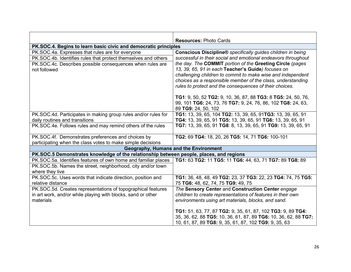|                                                                                         | <b>Resources: Photo Cards</b>                                      |
|-----------------------------------------------------------------------------------------|--------------------------------------------------------------------|
| PK.SOC.4. Begins to learn basic civic and democratic principles                         |                                                                    |
| PK.SOC.4a. Expresses that rules are for everyone                                        | <b>Conscious Discipline®</b> specifically guides children in being |
| PK.SOC.4b. Identifies rules that protect themselves and others                          | successful in their social and emotional endeavors throughout      |
| PK.SOC.4c. Describes possible consequences when rules are                               | the day. The COMMIT portion of the Greeting Circle (pages          |
| not followed                                                                            | 13, 39, 65, 91 in each Teacher's Guide) focuses on                 |
|                                                                                         | challenging children to commit to make wise and independent        |
|                                                                                         | choices as a responsible member of the class, understanding        |
|                                                                                         | rules to protect and the consequences of their choices.            |
|                                                                                         | TG1: 9, 50, 52 TG2: 9, 10, 36, 87, 88 TG3: 8 TG5: 24, 50, 76,      |
|                                                                                         | 99, 101 TG6: 24, 73, 76 TG7: 9, 24, 76, 86, 102 TG8: 24, 63,       |
|                                                                                         | 89 TG9: 24, 50, 102                                                |
| PK.SOC.4d. Participates in making group rules and/or rules for                          | TG1: 13, 39, 65, 104 TG2: 13, 39, 65, 91TG3: 13, 39, 65, 91        |
| daily routines and transitions                                                          | TG4: 13, 39, 65, 91 TG5: 13, 39, 65, 91 TG6: 13, 39, 65, 91        |
| PK.SOC.4e. Follows rules and may remind others of the rules                             | TG7: 13, 39, 65, 91 TG8: 8, 13, 39, 65, 91 TG9: 13, 39, 65, 91     |
| PK.SOC.4f. Demonstrates preferences and choices by                                      | TG2: 69 TG4: 18, 20, 26 TG5: 14, 71 TG6: 100-101                   |
| participating when the class votes to make simple decisions                             |                                                                    |
|                                                                                         | Geography, Humans and the Environment                              |
| PK.SOC.5 Demonstrates knowledge of the relationship between people, places, and regions |                                                                    |
| PK.SOC.5a. Identifies features of own home and familiar places                          | TG1: 63 TG2: 11 TG5: 11 TG6: 44, 63, 71 TG7: 89 TG8: 89            |
| PK.SOC.5b. Names the street, neighborhood, city and/or town                             |                                                                    |
| where they live                                                                         |                                                                    |
| PK.SOC.5c. Uses words that indicate direction, position and                             | TG1: 36, 48, 48, 49 TG2: 23, 37 TG3: 22, 23 TG4: 74, 75 TG5:       |
| relative distance                                                                       | 75 TG6: 48, 62, 74, 75 TG9: 49, 75                                 |
| PK.SOC.5d. Creates representations of topographical features                            | The Sensory Center and Construction Center engage                  |
| in art work, and/or while playing with blocks, sand or other                            | children to create representations of features in their own        |
| materials                                                                               | environments using art materials, blocks, and sand.                |
|                                                                                         | TG1: 51, 63, 77, 87 TG2: 9, 35, 61, 87, 102 TG3: 9, 89 TG4:        |
|                                                                                         | 35, 36, 62, 88 TG5: 10, 36, 61, 87, 89 TG6: 10, 36, 62, 88 TG7:    |
|                                                                                         | 10, 61, 87, 89 TG8: 9, 35, 61, 87, 102 TG9: 9, 35, 63              |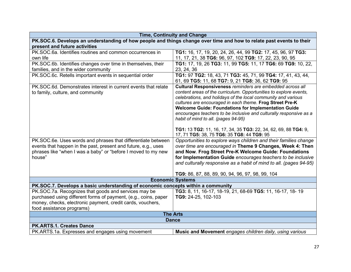| <b>Time, Continuity and Change</b>                                                                                   |                                                                    |
|----------------------------------------------------------------------------------------------------------------------|--------------------------------------------------------------------|
| PK.SOC.6. Develops an understanding of how people and things change over time and how to relate past events to their |                                                                    |
| present and future activities                                                                                        |                                                                    |
| PK.SOC.6a. Identifies routines and common occurrences in                                                             | TG1: 16, 17, 19, 20, 24, 26, 44, 99 TG2: 17, 45, 96, 97 TG3:       |
| own life                                                                                                             | 11, 17, 21, 38 TG6: 96, 97, 102 TG9: 17, 22, 23, 90, 95            |
| PK.SOC.6b. Identifies changes over time in themselves, their                                                         | TG1: 17, 19, 26 TG3: 11, 99 TG5: 11, 17 TG6: 69 TG9: 10, 22,       |
| families, and in the wider community                                                                                 | 23, 24, 36                                                         |
| PK.SOC.6c. Retells important events in sequential order                                                              | TG1: 97 TG2: 18, 43, 71 TG3: 45, 71, 99 TG4: 17, 41, 43, 44,       |
|                                                                                                                      | 61, 69 TG5: 11, 68 TG7: 9, 21 TG8: 36, 62 TG9: 95                  |
| PK.SOC.6d. Demonstrates interest in current events that relate                                                       | Cultural Responsiveness reminders are embedded across all          |
| to family, culture, and community                                                                                    | content areas of the curriculum. Opportunities to explore events,  |
|                                                                                                                      | celebrations, and holidays of the local community and various      |
|                                                                                                                      | cultures are encouraged in each theme. Frog Street Pre-K           |
|                                                                                                                      | <b>Welcome Guide: Foundations for Implementation Guide</b>         |
|                                                                                                                      | encourages teachers to be inclusive and culturally responsive as a |
|                                                                                                                      | habit of mind to all. (pages 94-95)                                |
|                                                                                                                      | TG1: 13 TG2: 11, 16, 17, 34, 35 TG3: 22, 34, 62, 69, 88 TG4: 9,    |
|                                                                                                                      | 17, 71 TG5: 38, 75 TG6: 35 TG8: 44 TG9: 95                         |
| PK.SOC.6e. Uses words and phrases that differentiate between                                                         | Opportunities to explore ways children and their families change   |
| events that happen in the past, present and future, e.g., uses                                                       | over time are encouraged in Theme 9 Changes, Week 4: Then          |
| phrases like "when I was a baby" or "before I moved to my new                                                        | and Now. Frog Street Pre-K Welcome Guide: Foundations              |
| house"                                                                                                               | for Implementation Guide encourages teachers to be inclusive       |
|                                                                                                                      | and culturally responsive as a habit of mind to all. (pages 94-95) |
|                                                                                                                      |                                                                    |
|                                                                                                                      | TG9: 86, 87, 88, 89, 90, 94, 96, 97, 98, 99, 104                   |
|                                                                                                                      | <b>Economic Systems</b>                                            |
| PK.SOC.7. Develops a basic understanding of economic concepts within a community                                     |                                                                    |
| PK.SOC.7a. Recognizes that goods and services may be                                                                 | TG3: 8, 11, 16-17, 18-19, 21, 68-69 TG5: 11, 16-17, 18-19          |
| purchased using different forms of payment, (e.g., coins, paper                                                      | TG9: 24-25, 102-103                                                |
| money, checks, electronic payment, credit cards, vouchers,                                                           |                                                                    |
| food assistance programs)                                                                                            |                                                                    |
| <b>The Arts</b>                                                                                                      |                                                                    |
| <b>Dance</b>                                                                                                         |                                                                    |
| PK.ARTS.1. Creates Dance                                                                                             |                                                                    |
| PK.ARTS.1a. Expresses and engages using movement                                                                     | Music and Movement engages children daily, using various           |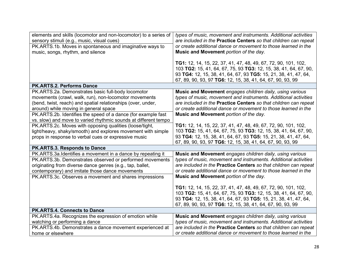| elements and skills (locomotor and non-locomotor) to a series of<br>sensory stimuli (e.g., music, visual cues)<br>PK.ARTS.1b. Moves in spontaneous and imaginative ways to<br>music, songs, rhythm, and silence                                                                                                                                          | types of music, movement and instruments. Additional activities<br>are included in the Practice Centers so that children can repeat<br>or create additional dance or movement to those learned in the<br>Music and Movement portion of the day.<br>TG1: 12, 14, 15, 22, 37, 41, 47, 48, 49, 67, 72, 90, 101, 102,<br>103 TG2: 15, 41, 64, 67, 75, 93 TG3: 12, 15, 38, 41, 64, 67, 90,<br>93 TG4: 12, 15, 38, 41, 64, 67, 93 TG5: 15, 21, 38, 41, 47, 64,<br>67, 89, 90, 93, 97 TG6: 12, 15, 38, 41, 64, 67, 90, 93, 99 |
|----------------------------------------------------------------------------------------------------------------------------------------------------------------------------------------------------------------------------------------------------------------------------------------------------------------------------------------------------------|------------------------------------------------------------------------------------------------------------------------------------------------------------------------------------------------------------------------------------------------------------------------------------------------------------------------------------------------------------------------------------------------------------------------------------------------------------------------------------------------------------------------|
| PK.ARTS.2. Performs Dance                                                                                                                                                                                                                                                                                                                                |                                                                                                                                                                                                                                                                                                                                                                                                                                                                                                                        |
| PK.ARTS.2a. Demonstrates basic full-body locomotor<br>movements (crawl, walk, run), non-locomotor movements<br>(bend, twist, reach) and spatial relationships (over, under,<br>around) while moving in general space<br>PK.ARTS.2b. Identifies the speed of a dance (for example fast<br>vs. slow) and move to varied rhythmic sounds at different tempo | Music and Movement engages children daily, using various<br>types of music, movement and instruments. Additional activities<br>are included in the Practice Centers so that children can repeat<br>or create additional dance or movement to those learned in the<br>Music and Movement portion of the day.                                                                                                                                                                                                            |
| PK.ARTS.2c. Moves with opposing qualities (loose/tight,<br>light/heavy, shaky/smooth) and explores movement with simple<br>props in response to verbal cues or expressive music                                                                                                                                                                          | TG1: 12, 14, 15, 22, 37, 41, 47, 48, 49, 67, 72, 90, 101, 102,<br>103 TG2: 15, 41, 64, 67, 75, 93 TG3: 12, 15, 38, 41, 64, 67, 90,<br>93 TG4: 12, 15, 38, 41, 64, 67, 93 TG5: 15, 21, 38, 41, 47, 64,<br>67, 89, 90, 93, 97 TG6: 12, 15, 38, 41, 64, 67, 90, 93, 99                                                                                                                                                                                                                                                    |
| PK.ARTS.3. Responds to Dance                                                                                                                                                                                                                                                                                                                             |                                                                                                                                                                                                                                                                                                                                                                                                                                                                                                                        |
| PK.ARTS.3a.Identifies a movement in a dance by repeating it<br>PK.ARTS.3b. Demonstrates observed or performed movements<br>originating from diverse dance genres (e.g., tap, ballet,<br>contemporary) and imitate those dance movements<br>PK.ARTS.3c. Observes a movement and shares impressions                                                        | Music and Movement engages children daily, using various<br>types of music, movement and instruments. Additional activities<br>are included in the Practice Centers so that children can repeat<br>or create additional dance or movement to those learned in the<br>Music and Movement portion of the day.                                                                                                                                                                                                            |
|                                                                                                                                                                                                                                                                                                                                                          | TG1: 12, 14, 15, 22, 37, 41, 47, 48, 49, 67, 72, 90, 101, 102,<br>103 TG2: 15, 41, 64, 67, 75, 93 TG3: 12, 15, 38, 41, 64, 67, 90,<br>93 TG4: 12, 15, 38, 41, 64, 67, 93 TG5: 15, 21, 38, 41, 47, 64,<br>67, 89, 90, 93, 97 TG6: 12, 15, 38, 41, 64, 67, 90, 93, 99                                                                                                                                                                                                                                                    |
| <b>PK.ARTS.4. Connects to Dance</b>                                                                                                                                                                                                                                                                                                                      |                                                                                                                                                                                                                                                                                                                                                                                                                                                                                                                        |
| PK.ARTS.4a. Recognizes the expression of emotion while<br>watching or performing a dance<br>PK.ARTS.4b. Demonstrates a dance movement experienced at<br>home or elsewhere                                                                                                                                                                                | Music and Movement engages children daily, using various<br>types of music, movement and instruments. Additional activities<br>are included in the Practice Centers so that children can repeat<br>or create additional dance or movement to those learned in the                                                                                                                                                                                                                                                      |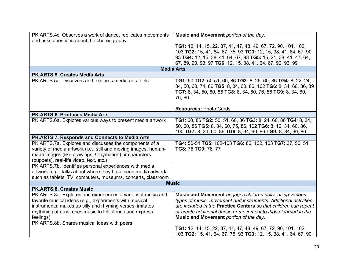| PK.ARTS.4c. Observes a work of dance, replicates movements      | Music and Movement portion of the day.                            |
|-----------------------------------------------------------------|-------------------------------------------------------------------|
| and asks questions about the choreography                       |                                                                   |
|                                                                 | TG1: 12, 14, 15, 22, 37, 41, 47, 48, 49, 67, 72, 90, 101, 102,    |
|                                                                 | 103 TG2: 15, 41, 64, 67, 75, 93 TG3: 12, 15, 38, 41, 64, 67, 90,  |
|                                                                 | 93 TG4: 12, 15, 38, 41, 64, 67, 93 TG5: 15, 21, 38, 41, 47, 64,   |
|                                                                 | 67, 89, 90, 93, 97 TG6: 12, 15, 38, 41, 64, 67, 90, 93, 99        |
|                                                                 | <b>Media Arts</b>                                                 |
| <b>PK.ARTS.5. Creates Media Arts</b>                            |                                                                   |
| PK.ARTS.5a. Discovers and explores media arts tools             | TG1: 50 TG2: 50-51, 60, 86 TG3: 8, 25, 60, 86 TG4: 8, 22, 24,     |
|                                                                 | 34, 50, 60, 74, 86 TG5: 8, 34, 60, 86, 102 TG6: 8, 34, 60, 86, 89 |
|                                                                 | TG7: 8, 34, 50, 60, 86 TG8: 8, 34, 60, 76, 86 TG9: 8, 34, 60,     |
|                                                                 | 76,86                                                             |
|                                                                 |                                                                   |
|                                                                 | <b>Resources: Photo Cards</b>                                     |
| PK.ARTS.6. Produces Media Arts                                  |                                                                   |
| PK.ARTS.6a. Explores various ways to present media artwork      | TG1: 60, 86 TG2: 50, 51, 60, 86 TG3: 8, 24, 60, 86 TG4: 8, 34,    |
|                                                                 | 50, 60, 86 TG5: 8, 34, 60, 75, 86, 102 TG6: 8, 10, 34, 60, 86,    |
|                                                                 | 100 TG7: 8, 34, 60, 86 TG8: 8, 34, 60, 86 TG9: 8, 34, 60, 86      |
| PK.ARTS.7. Responds and Connects to Media Arts                  |                                                                   |
| PK.ARTS.7a. Explores and discusses the components of a          | TG4: 50-51 TG5: 102-103 TG6: 86, 102, 103 TG7: 37, 50, 51         |
| variety of media artwork (i.e., still and moving images, human- | TG8: 76 TG9: 76, 77                                               |
| made images (like drawings, Claymation) or characters           |                                                                   |
| (puppets), real-life video, text, etc.)                         |                                                                   |
| PK.ARTS.7b. Identifies personal experiences with media          |                                                                   |
| artwork (e.g., talks about where they have seen media artwork,  |                                                                   |
| such as tablets, TV, computers, museums, concerts, classroom    |                                                                   |
|                                                                 | <b>Music</b>                                                      |
| PK.ARTS.8. Creates Music                                        |                                                                   |
| PK.ARTS.8a. Explores and experiences a variety of music and     | Music and Movement engages children daily, using various          |
| favorite musical ideas (e.g., experiments with musical          | types of music, movement and instruments. Additional activities   |
| instruments, makes up silly and rhyming verses, imitates        | are included in the Practice Centers so that children can repeat  |
| rhythmic patterns, uses music to tell stories and express       | or create additional dance or movement to those learned in the    |
| feelings)                                                       | Music and Movement portion of the day.                            |
| PK.ARTS.8b. Shares musical ideas with peers                     |                                                                   |
|                                                                 | TG1: 12, 14, 15, 22, 37, 41, 47, 48, 49, 67, 72, 90, 101, 102,    |
|                                                                 | 103 TG2: 15, 41, 64, 67, 75, 93 TG3: 12, 15, 38, 41, 64, 67, 90,  |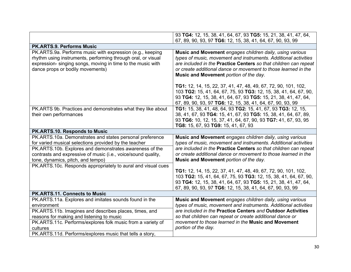|                                                                                                                                                                                                                                                                                    | 93 TG4: 12, 15, 38, 41, 64, 67, 93 TG5: 15, 21, 38, 41, 47, 64,                                                                                                                                                                                                                                             |
|------------------------------------------------------------------------------------------------------------------------------------------------------------------------------------------------------------------------------------------------------------------------------------|-------------------------------------------------------------------------------------------------------------------------------------------------------------------------------------------------------------------------------------------------------------------------------------------------------------|
|                                                                                                                                                                                                                                                                                    | 67, 89, 90, 93, 97 TG6: 12, 15, 38, 41, 64, 67, 90, 93, 99                                                                                                                                                                                                                                                  |
| <b>PK.ARTS.9. Performs Music</b>                                                                                                                                                                                                                                                   |                                                                                                                                                                                                                                                                                                             |
| PK.ARTS.9a. Performs music with expression (e.g., keeping<br>rhythm using instruments, performing through oral, or visual<br>expression- singing songs, moving in time to the music with<br>dance props or bodily movements)                                                       | Music and Movement engages children daily, using various<br>types of music, movement and instruments. Additional activities<br>are included in the Practice Centers so that children can repeat<br>or create additional dance or movement to those learned in the<br>Music and Movement portion of the day. |
|                                                                                                                                                                                                                                                                                    | TG1: 12, 14, 15, 22, 37, 41, 47, 48, 49, 67, 72, 90, 101, 102,<br>103 TG2: 15, 41, 64, 67, 75, 93 TG3: 12, 15, 38, 41, 64, 67, 90,<br>93 TG4: 12, 15, 38, 41, 64, 67, 93 TG5: 15, 21, 38, 41, 47, 64,<br>67, 89, 90, 93, 97 TG6: 12, 15, 38, 41, 64, 67, 90, 93, 99                                         |
| PK.ARTS 9b. Practices and demonstrates what they like about<br>their own performances                                                                                                                                                                                              | TG1: 15, 38, 41, 48, 64, 93 TG2: 15, 41, 67, 93 TG3: 12, 15,<br>38, 41, 67, 93 TG4: 15, 41, 67, 93 TG5: 15, 38, 41, 64, 67, 89,<br>93 TG6: 10, 12, 15, 37, 41, 64, 67, 90, 93 TG7: 41, 67, 93, 95<br>TG8: 15, 67, 93 TG9: 15, 41, 67, 93                                                                    |
| PK.ARTS.10. Responds to Music                                                                                                                                                                                                                                                      |                                                                                                                                                                                                                                                                                                             |
| PK.ARTS.10a. Demonstrates and states personal preference<br>for varied musical selections provided by the teacher<br>PK.ARTS.10b. Explores and demonstrates awareness of the<br>contrasts and expressive of music (i.e., voice/sound quality,<br>tone, dynamics, pitch, and tempo) | Music and Movement engages children daily, using various<br>types of music, movement and instruments. Additional activities<br>are included in the Practice Centers so that children can repeat<br>or create additional dance or movement to those learned in the<br>Music and Movement portion of the day. |
| PK.ARTS.10c. Responds appropriately to aural and visual cues                                                                                                                                                                                                                       | TG1: 12, 14, 15, 22, 37, 41, 47, 48, 49, 67, 72, 90, 101, 102,<br>103 TG2: 15, 41, 64, 67, 75, 93 TG3: 12, 15, 38, 41, 64, 67, 90,<br>93 TG4: 12, 15, 38, 41, 64, 67, 93 TG5: 15, 21, 38, 41, 47, 64,<br>67, 89, 90, 93, 97 TG6: 12, 15, 38, 41, 64, 67, 90, 93, 99                                         |
| <b>PK.ARTS.11. Connects to Music</b>                                                                                                                                                                                                                                               |                                                                                                                                                                                                                                                                                                             |
| PK.ARTS.11a. Explores and imitates sounds found in the<br>environment                                                                                                                                                                                                              | Music and Movement engages children daily, using various<br>types of music, movement and instruments. Additional activities                                                                                                                                                                                 |
| PK.ARTS.11b. Imagines and describes places, times, and<br>reasons for making and listening to music                                                                                                                                                                                | are included in the Practice Centers and Outdoor Activities<br>so that children can repeat or create additional dance or                                                                                                                                                                                    |
| PK.ARTS.11c. Performs/explores folk music from a variety of<br>cultures                                                                                                                                                                                                            | movement to those learned in the Music and Movement<br>portion of the day.                                                                                                                                                                                                                                  |
| PK.ARTS.11d. Performs/explores music that tells a story,                                                                                                                                                                                                                           |                                                                                                                                                                                                                                                                                                             |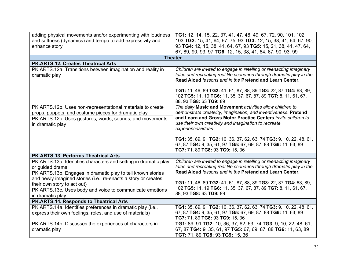| adding physical movements and/or experimenting with loudness<br>and softness (dynamics) and tempo to add expressivity and<br>enhance story                                     | TG1: 12, 14, 15, 22, 37, 41, 47, 48, 49, 67, 72, 90, 101, 102,<br>103 TG2: 15, 41, 64, 67, 75, 93 TG3: 12, 15, 38, 41, 64, 67, 90,<br>93 TG4: 12, 15, 38, 41, 64, 67, 93 TG5: 15, 21, 38, 41, 47, 64,<br>67, 89, 90, 93, 97 TG6: 12, 15, 38, 41, 64, 67, 90, 93, 99 |
|--------------------------------------------------------------------------------------------------------------------------------------------------------------------------------|---------------------------------------------------------------------------------------------------------------------------------------------------------------------------------------------------------------------------------------------------------------------|
|                                                                                                                                                                                | <b>Theater</b>                                                                                                                                                                                                                                                      |
| <b>PK.ARTS.12. Creates Theatrical Arts</b>                                                                                                                                     |                                                                                                                                                                                                                                                                     |
| PK.ARTS.12a. Transitions between imagination and reality in<br>dramatic play                                                                                                   | Children are invited to engage in retelling or reenacting imaginary<br>tales and recreating real life scenarios through dramatic play in the<br>Read Aloud lessons and in the Pretend and Learn Center.                                                             |
|                                                                                                                                                                                | TG1: 11, 46, 89 TG2: 41, 61, 87, 88, 89 TG3: 22, 37 TG4: 63, 89,<br>102 TG5: 11, 19 TG6: 11, 35, 37, 67, 87, 89 TG7: 8, 11, 61, 67,<br>88, 93 TG8: 63 TG9: 89                                                                                                       |
| PK.ARTS.12b. Uses non-representational materials to create<br>props, puppets, and costume pieces for dramatic play<br>PK.ARTS.12c. Uses gestures, words, sounds, and movements | The daily Music and Movement activities allow children to<br>demonstrate creativity, imagination, and inventiveness. Pretend<br>and Learn and Gross Motor Practice Centers invite children to                                                                       |
| in dramatic play                                                                                                                                                               | use their own creativity and imagination to recreate<br>experiences/ideas.                                                                                                                                                                                          |
|                                                                                                                                                                                | TG1: 35, 89, 91 TG2: 10, 36, 37, 62, 63, 74 TG3: 9, 10, 22, 48, 61,<br>67, 87 TG4: 9, 35, 61, 97 TG5: 67, 69, 87, 88 TG6: 11, 63, 89<br>TG7: 71, 89 TG8: 93 TG9: 15, 36                                                                                             |
| PK.ARTS.13. Performs Theatrical Arts                                                                                                                                           |                                                                                                                                                                                                                                                                     |
| PK.ARTS.13a. Identifies characters and setting in dramatic play<br>or guided drama                                                                                             | Children are invited to engage in retelling or reenacting imaginary<br>tales and recreating real life scenarios through dramatic play in the                                                                                                                        |
| PK.ARTS.13b. Engages in dramatic play to tell known stories                                                                                                                    | Read Aloud lessons and in the Pretend and Learn Center.                                                                                                                                                                                                             |
| and newly imagined stories (i.e., re-enacts a story or creates<br>their own story to act out)                                                                                  | TG1: 11, 46, 89 TG2: 41, 61, 87, 88, 89 TG3: 22, 37 TG4: 63, 89,                                                                                                                                                                                                    |
| PK.ARTS.13c. Uses body and voice to communicate emotions                                                                                                                       | 102 TG5: 11, 19 TG6: 11, 35, 37, 67, 87, 89 TG7: 8, 11, 61, 67,<br>88, 93 TG8: 63 TG9: 89                                                                                                                                                                           |
| in dramatic play                                                                                                                                                               |                                                                                                                                                                                                                                                                     |
| PK.ARTS.14. Responds to Theatrical Arts                                                                                                                                        |                                                                                                                                                                                                                                                                     |
| PK.ARTS.14a. Identifies preferences in dramatic play (i.e.,<br>express their own feelings, roles, and use of materials)                                                        | TG1: 35, 89, 91 TG2: 10, 36, 37, 62, 63, 74 TG3: 9, 10, 22, 48, 61,<br>67, 87 TG4: 9, 35, 61, 97 TG5: 67, 69, 87, 88 TG6: 11, 63, 89<br>TG7: 71, 89 TG8: 93 TG9: 15, 36                                                                                             |
| PK.ARTS.14b. Discusses the experiences of characters in<br>dramatic play                                                                                                       | TG1: 89, 91 TG2: 10, 36, 37, 62, 63, 74 TG3: 9, 10, 22, 48, 61,<br>67, 87 TG4: 9, 35, 61, 97 TG5: 67, 69, 87, 88 TG6: 11, 63, 89<br>TG7: 71, 89 TG8: 93 TG9: 15, 36                                                                                                 |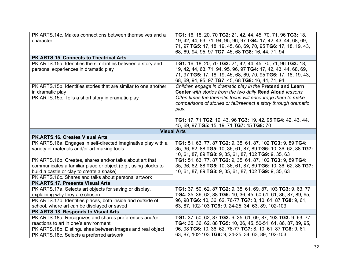| PK.ARTS.14c. Makes connections between themselves and a<br>character                                                                     | TG1: 16, 18, 20, 70 TG2: 21, 42, 44, 45, 70, 71, 96 TG3: 18,<br>19, 42, 44, 63, 71, 94, 95, 96, 97 TG4: 17, 42, 43, 44, 68, 69,                                                                    |
|------------------------------------------------------------------------------------------------------------------------------------------|----------------------------------------------------------------------------------------------------------------------------------------------------------------------------------------------------|
|                                                                                                                                          | 71, 97 TG5: 17, 18, 19, 45, 68, 69, 70, 95 TG6: 17, 18, 19, 43,<br>68, 69, 94, 95, 97 TG7: 45, 68 TG8: 16, 44, 71, 94                                                                              |
| PK.ARTS.15. Connects to Theatrical Arts                                                                                                  |                                                                                                                                                                                                    |
| PK.ARTS.15a. Identifies the similarities between a story and<br>personal experiences in dramatic play                                    | TG1: 16, 18, 20, 70 TG2: 21, 42, 44, 45, 70, 71, 96 TG3: 18,<br>19, 42, 44, 63, 71, 94, 95, 96, 97 TG4: 17, 42, 43, 44, 68, 69,<br>71, 97 TG5: 17, 18, 19, 45, 68, 69, 70, 95 TG6: 17, 18, 19, 43, |
|                                                                                                                                          | 68, 69, 94, 95, 97 TG7: 45, 68 TG8: 16, 44, 71, 94                                                                                                                                                 |
| PK.ARTS.15b. Identifies stories that are similar to one another<br>in dramatic play<br>PK.ARTS.15c. Tells a short story in dramatic play | Children engage in dramatic play in the Pretend and Learn<br>Center with stories from the two daily Read Aloud lessons.<br>Often times the thematic focus will encourage them to make              |
|                                                                                                                                          | comparisons of stories or tell/reenact a story through dramatic<br>play.                                                                                                                           |
|                                                                                                                                          | TG1: 17, 71 TG2: 19, 43, 96 TG3: 19, 42, 95 TG4: 42, 43, 44,<br>45, 69, 97 TG5: 15, 19, 71 TG7: 45 TG8: 70                                                                                         |
|                                                                                                                                          | <b>Visual Arts</b>                                                                                                                                                                                 |
| <b>PK.ARTS.16. Creates Visual Arts</b>                                                                                                   |                                                                                                                                                                                                    |
| PK.ARTS.16a. Engages in self-directed imaginative play with a<br>variety of materials and/or art-making tools                            | TG1: 51, 63, 77, 87 TG2: 9, 35, 61, 87, 102 TG3: 9, 89 TG4:<br>35, 36, 62, 88 TG5: 10, 36, 61, 87, 89 TG6: 10, 36, 62, 88 TG7:<br>10, 61, 87, 89 TG8: 9, 35, 61, 87, 102 TG9: 9, 35, 63            |
| PK.ARTS.16b. Creates, shares and/or talks about art that                                                                                 | TG1: 51, 63, 77, 87 TG2: 9, 35, 61, 87, 102 TG3: 9, 89 TG4:                                                                                                                                        |
| communicates a familiar place or object (e.g., using blocks to                                                                           | 35, 36, 62, 88 TG5: 10, 36, 61, 87, 89 TG6: 10, 36, 62, 88 TG7:                                                                                                                                    |
| build a castle or clay to create a snake)                                                                                                | 10, 61, 87, 89 TG8: 9, 35, 61, 87, 102 TG9: 9, 35, 63                                                                                                                                              |
| PK.ARTS.16c. Shares and talks about personal artwork                                                                                     |                                                                                                                                                                                                    |
| PK.ARTS.17. Presents Visual Arts                                                                                                         |                                                                                                                                                                                                    |
| PK.ARTS.17a. Selects art objects for saving or display,                                                                                  | TG1: 37, 50, 62, 87 TG2: 9, 35, 61, 69, 87, 103 TG3: 9, 63, 77                                                                                                                                     |
| explaining why they are chosen                                                                                                           | TG4: 35, 36, 62, 88 TG5: 10, 36, 45, 50-51, 61, 86, 87, 89, 95,                                                                                                                                    |
| PK.ARTS.17b. Identifies places, both inside and outside of                                                                               | 96, 98 TG6: 10, 36, 62, 76-77 TG7: 8, 10, 61, 87 TG8: 9, 61,                                                                                                                                       |
| school, where art can be displayed or saved                                                                                              | 63, 87, 102-103 TG9: 9, 24-25, 34, 63, 89, 102-103                                                                                                                                                 |
| PK.ARTS.18. Responds to Visual Arts                                                                                                      |                                                                                                                                                                                                    |
| PK.ARTS.18a. Recognizes and shares preferences and/or                                                                                    | TG1: 37, 50, 62, 87 TG2: 9, 35, 61, 69, 87, 103 TG3: 9, 63, 77                                                                                                                                     |
| reactions to art in one's environment                                                                                                    | TG4: 35, 36, 62, 88 TG5: 10, 36, 45, 50-51, 61, 86, 87, 89, 95,                                                                                                                                    |
| PK.ARTS.18b. Distinguishes between images and real object                                                                                |                                                                                                                                                                                                    |
| PK.ARTS.18c. Selects a preferred artwork                                                                                                 | 96, 98 TG6: 10, 36, 62, 76-77 TG7: 8, 10, 61, 87 TG8: 9, 61,<br>63, 87, 102-103 TG9: 9, 24-25, 34, 63, 89, 102-103                                                                                 |